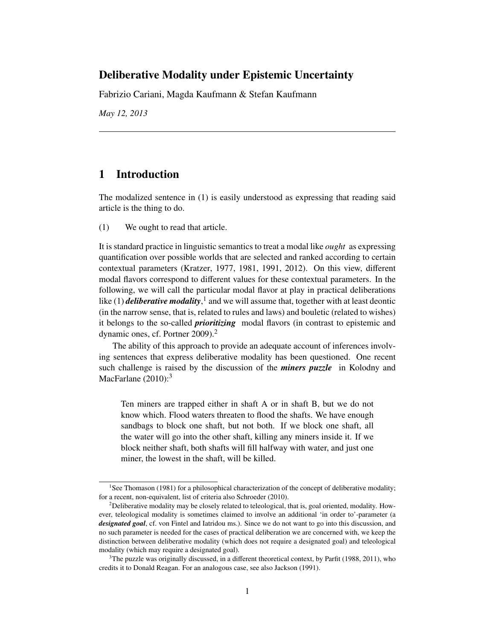# Deliberative Modality under Epistemic Uncertainty

Fabrizio Cariani, Magda Kaufmann & Stefan Kaufmann

*May 12, 2013*

# 1 Introduction

The modalized sentence in (1) is easily understood as expressing that reading said article is the thing to do.

(1) We ought to read that article.

It is standard practice in linguistic semantics to treat a modal like *ought* as expressing quantification over possible worlds that are selected and ranked according to certain contextual parameters (Kratzer, 1977, 1981, 1991, 2012). On this view, different modal flavors correspond to different values for these contextual parameters. In the following, we will call the particular modal flavor at play in practical deliberations like (1) *deliberative modality*, 1 and we will assume that, together with at least deontic (in the narrow sense, that is, related to rules and laws) and bouletic (related to wishes) it belongs to the so-called *prioritizing* modal flavors (in contrast to epistemic and dynamic ones, cf. Portner 2009).<sup>2</sup>

The ability of this approach to provide an adequate account of inferences involving sentences that express deliberative modality has been questioned. One recent such challenge is raised by the discussion of the *miners puzzle* in Kolodny and MacFarlane  $(2010)$ :<sup>3</sup>

Ten miners are trapped either in shaft A or in shaft B, but we do not know which. Flood waters threaten to flood the shafts. We have enough sandbags to block one shaft, but not both. If we block one shaft, all the water will go into the other shaft, killing any miners inside it. If we block neither shaft, both shafts will fill halfway with water, and just one miner, the lowest in the shaft, will be killed.

<sup>&</sup>lt;sup>1</sup>See Thomason (1981) for a philosophical characterization of the concept of deliberative modality; for a recent, non-equivalent, list of criteria also Schroeder (2010).

<sup>&</sup>lt;sup>2</sup>Deliberative modality may be closely related to teleological, that is, goal oriented, modality. However, teleological modality is sometimes claimed to involve an additional 'in order to'-parameter (a *designated goal*, cf. von Fintel and Iatridou ms.). Since we do not want to go into this discussion, and no such parameter is needed for the cases of practical deliberation we are concerned with, we keep the distinction between deliberative modality (which does not require a designated goal) and teleological modality (which may require a designated goal).

 $3$ The puzzle was originally discussed, in a different theoretical context, by Parfit (1988, 2011), who credits it to Donald Reagan. For an analogous case, see also Jackson (1991).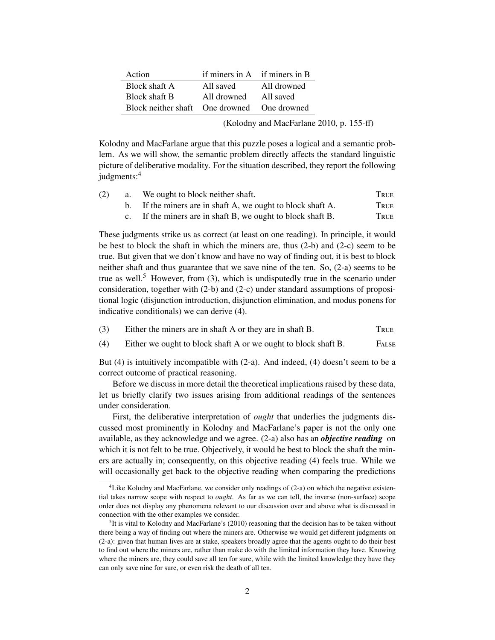| Action                                      | if miners in $A$ if miners in $B$ |             |
|---------------------------------------------|-----------------------------------|-------------|
| Block shaft A                               | All saved                         | All drowned |
| <b>Block shaft B</b>                        | All drowned                       | All saved   |
| Block neither shaft One drowned One drowned |                                   |             |
|                                             |                                   |             |

(Kolodny and MacFarlane 2010, p. 155-ff)

Kolodny and MacFarlane argue that this puzzle poses a logical and a semantic problem. As we will show, the semantic problem directly affects the standard linguistic picture of deliberative modality. For the situation described, they report the following judgments:<sup>4</sup>

| (2) | a. | We ought to block neither shaft.                            | True |
|-----|----|-------------------------------------------------------------|------|
|     |    | b. If the miners are in shaft A, we ought to block shaft A. | True |
|     |    | c. If the miners are in shaft B, we ought to block shaft B. | True |

These judgments strike us as correct (at least on one reading). In principle, it would be best to block the shaft in which the miners are, thus (2-b) and (2-c) seem to be true. But given that we don't know and have no way of finding out, it is best to block neither shaft and thus guarantee that we save nine of the ten. So, (2-a) seems to be true as well.<sup>5</sup> However, from  $(3)$ , which is undisputedly true in the scenario under consideration, together with (2-b) and (2-c) under standard assumptions of propositional logic (disjunction introduction, disjunction elimination, and modus ponens for indicative conditionals) we can derive (4).

(3) Either the miners are in shaft A or they are in shaft B. True

(4) Either we ought to block shaft A or we ought to block shaft B. False

But (4) is intuitively incompatible with (2-a). And indeed, (4) doesn't seem to be a correct outcome of practical reasoning.

Before we discuss in more detail the theoretical implications raised by these data, let us briefly clarify two issues arising from additional readings of the sentences under consideration.

First, the deliberative interpretation of *ought* that underlies the judgments discussed most prominently in Kolodny and MacFarlane's paper is not the only one available, as they acknowledge and we agree. (2-a) also has an *objective reading* on which it is not felt to be true. Objectively, it would be best to block the shaft the miners are actually in; consequently, on this objective reading (4) feels true. While we will occasionally get back to the objective reading when comparing the predictions

<sup>4</sup>Like Kolodny and MacFarlane, we consider only readings of (2-a) on which the negative existential takes narrow scope with respect to *ought*. As far as we can tell, the inverse (non-surface) scope order does not display any phenomena relevant to our discussion over and above what is discussed in connection with the other examples we consider.

<sup>&</sup>lt;sup>5</sup>It is vital to Kolodny and MacFarlane's (2010) reasoning that the decision has to be taken without there being a way of finding out where the miners are. Otherwise we would get different judgments on (2-a): given that human lives are at stake, speakers broadly agree that the agents ought to do their best to find out where the miners are, rather than make do with the limited information they have. Knowing where the miners are, they could save all ten for sure, while with the limited knowledge they have they can only save nine for sure, or even risk the death of all ten.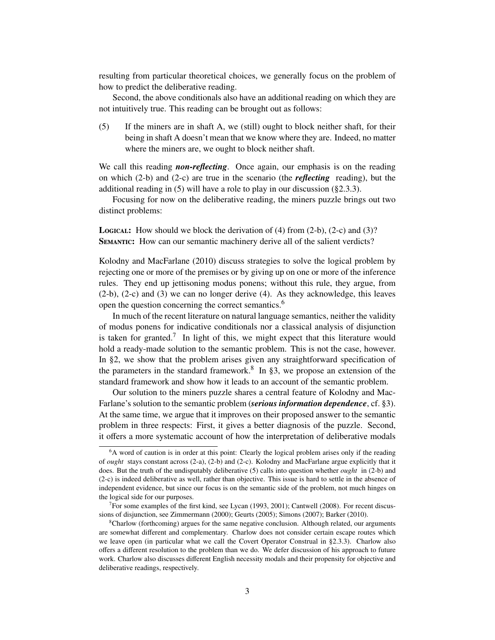resulting from particular theoretical choices, we generally focus on the problem of how to predict the deliberative reading.

Second, the above conditionals also have an additional reading on which they are not intuitively true. This reading can be brought out as follows:

(5) If the miners are in shaft A, we (still) ought to block neither shaft, for their being in shaft A doesn't mean that we know where they are. Indeed, no matter where the miners are, we ought to block neither shaft.

We call this reading *non-reflecting*. Once again, our emphasis is on the reading on which (2-b) and (2-c) are true in the scenario (the *reflecting* reading), but the additional reading in (5) will have a role to play in our discussion (§2.3.3).

Focusing for now on the deliberative reading, the miners puzzle brings out two distinct problems:

**LOGICAL:** How should we block the derivation of (4) from  $(2-b)$ ,  $(2-c)$  and  $(3)$ ? SEMANTIC: How can our semantic machinery derive all of the salient verdicts?

Kolodny and MacFarlane (2010) discuss strategies to solve the logical problem by rejecting one or more of the premises or by giving up on one or more of the inference rules. They end up jettisoning modus ponens; without this rule, they argue, from (2-b), (2-c) and (3) we can no longer derive (4). As they acknowledge, this leaves open the question concerning the correct semantics.<sup>6</sup>

In much of the recent literature on natural language semantics, neither the validity of modus ponens for indicative conditionals nor a classical analysis of disjunction is taken for granted.<sup>7</sup> In light of this, we might expect that this literature would hold a ready-made solution to the semantic problem. This is not the case, however. In §2, we show that the problem arises given any straightforward specification of the parameters in the standard framework.<sup>8</sup> In §3, we propose an extension of the standard framework and show how it leads to an account of the semantic problem.

Our solution to the miners puzzle shares a central feature of Kolodny and Mac-Farlane's solution to the semantic problem (*serious information dependence*, cf. §3). At the same time, we argue that it improves on their proposed answer to the semantic problem in three respects: First, it gives a better diagnosis of the puzzle. Second, it offers a more systematic account of how the interpretation of deliberative modals

 $6A$  word of caution is in order at this point: Clearly the logical problem arises only if the reading of *ought* stays constant across (2-a), (2-b) and (2-c). Kolodny and MacFarlane argue explicitly that it does. But the truth of the undisputably deliberative (5) calls into question whether *ought* in (2-b) and (2-c) is indeed deliberative as well, rather than objective. This issue is hard to settle in the absence of independent evidence, but since our focus is on the semantic side of the problem, not much hinges on the logical side for our purposes.

<sup>&</sup>lt;sup>7</sup>For some examples of the first kind, see Lycan (1993, 2001); Cantwell (2008). For recent discussions of disjunction, see Zimmermann (2000); Geurts (2005); Simons (2007); Barker (2010).

<sup>8</sup>Charlow (forthcoming) argues for the same negative conclusion. Although related, our arguments are somewhat different and complementary. Charlow does not consider certain escape routes which we leave open (in particular what we call the Covert Operator Construal in §2.3.3). Charlow also offers a different resolution to the problem than we do. We defer discussion of his approach to future work. Charlow also discusses different English necessity modals and their propensity for objective and deliberative readings, respectively.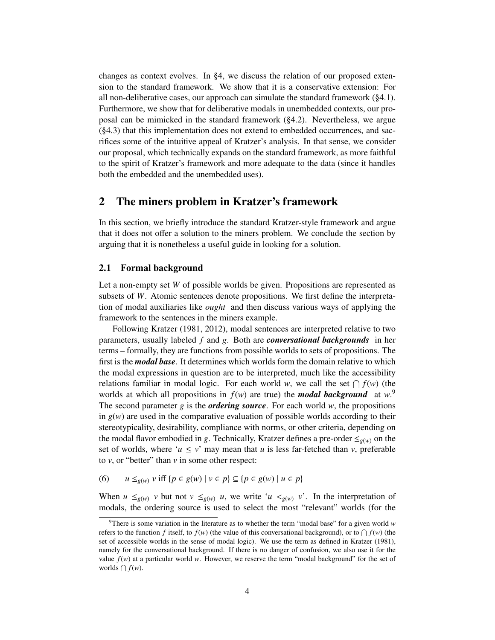changes as context evolves. In §4, we discuss the relation of our proposed extension to the standard framework. We show that it is a conservative extension: For all non-deliberative cases, our approach can simulate the standard framework  $(\S 4.1)$ . Furthermore, we show that for deliberative modals in unembedded contexts, our proposal can be mimicked in the standard framework (§4.2). Nevertheless, we argue (§4.3) that this implementation does not extend to embedded occurrences, and sacrifices some of the intuitive appeal of Kratzer's analysis. In that sense, we consider our proposal, which technically expands on the standard framework, as more faithful to the spirit of Kratzer's framework and more adequate to the data (since it handles both the embedded and the unembedded uses).

# 2 The miners problem in Kratzer's framework

In this section, we briefly introduce the standard Kratzer-style framework and argue that it does not offer a solution to the miners problem. We conclude the section by arguing that it is nonetheless a useful guide in looking for a solution.

### 2.1 Formal background

Let a non-empty set *W* of possible worlds be given. Propositions are represented as subsets of *W*. Atomic sentences denote propositions. We first define the interpretation of modal auxiliaries like *ought* and then discuss various ways of applying the framework to the sentences in the miners example.

Following Kratzer (1981, 2012), modal sentences are interpreted relative to two parameters, usually labeled *f* and *g*. Both are *conversational backgrounds* in her terms – formally, they are functions from possible worlds to sets of propositions. The first is the *modal base*. It determines which worlds form the domain relative to which the modal expressions in question are to be interpreted, much like the accessibility relations familiar in modal logic. For each world *w*, we call the set  $\bigcap f(w)$  (the worlds at which all propositions in  $f(w)$  are true) the *modal background* at  $w^9$ . The second parameter  $g$  is the *ordering source*. For each world  $w$ , the propositions in  $g(w)$  are used in the comparative evaluation of possible worlds according to their stereotypicality, desirability, compliance with norms, or other criteria, depending on the modal flavor embodied in *g*. Technically, Kratzer defines a pre-order  $\leq_{g(w)}$  on the set of worlds, where ' $u \le v$ ' may mean that *u* is less far-fetched than *v*, preferable to  $v$ , or "better" than  $v$  in some other respect:

(6)  $u \leq_{g(w)} v$  iff  $\{p \in g(w) \mid v \in p\} \subseteq \{p \in g(w) \mid u \in p\}$ 

When  $u \leq_{g(w)} v$  but not  $v \leq_{g(w)} u$ , we write ' $u \lt_{g(w)} v$ '. In the interpretation of modals, the ordering source is used to select the most "relevant" worlds (for the

<sup>9</sup>There is some variation in the literature as to whether the term "modal base" for a given world *w* refers to the function *f* itself, to  $f(w)$  (the value of this conversational background), or to  $\bigcap f(w)$  (the set of accessible worlds in the sense of modal logic). We use the term as defined in Kratzer (1981), namely for the conversational background. If there is no danger of confusion, we also use it for the value  $f(w)$  at a particular world *w*. However, we reserve the term "modal background" for the set of worlds  $\bigcap f(w)$ .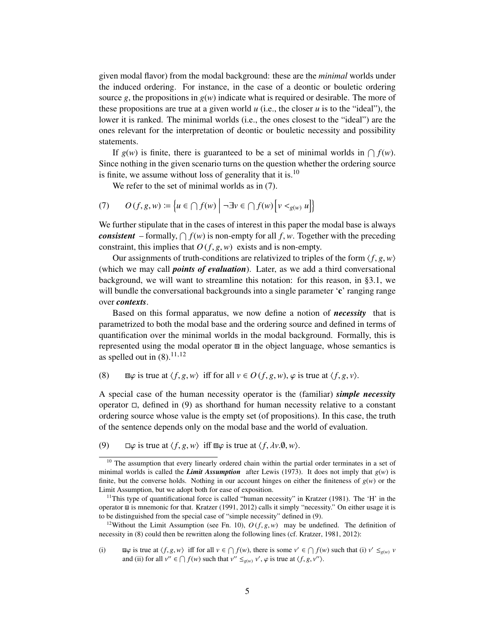given modal flavor) from the modal background: these are the *minimal* worlds under the induced ordering. For instance, in the case of a deontic or bouletic ordering source *g*, the propositions in  $g(w)$  indicate what is required or desirable. The more of these propositions are true at a given world  $u$  (i.e., the closer  $u$  is to the "ideal"), the lower it is ranked. The minimal worlds (i.e., the ones closest to the "ideal") are the ones relevant for the interpretation of deontic or bouletic necessity and possibility statements.

If  $g(w)$  is finite, there is guaranteed to be a set of minimal worlds in  $\bigcap f(w)$ . Since nothing in the given scenario turns on the question whether the ordering source is finite, we assume without loss of generality that it is.<sup>10</sup>

We refer to the set of minimal worlds as in  $(7)$ .

(7) 
$$
O(f, g, w) := \left\{ u \in \bigcap f(w) \mid \neg \exists v \in \bigcap f(w) \left[ v <_{g(w)} u \right] \right\}
$$

We further stipulate that in the cases of interest in this paper the modal base is always *consistent* – formally,  $\bigcap f(w)$  is non-empty for all *f*, *w*. Together with the preceding constraint this implies that  $O(f, g, w)$  exists and is non-empty constraint, this implies that  $O(f, g, w)$  exists and is non-empty.

Our assignments of truth-conditions are relativized to triples of the form  $\langle f, g, w \rangle$ (which we may call *points of evaluation*). Later, as we add a third conversational background, we will want to streamline this notation: for this reason, in §3.1, we will bundle the conversational backgrounds into a single parameter 'c' ranging range over *contexts*.

Based on this formal apparatus, we now define a notion of *necessity* that is parametrized to both the modal base and the ordering source and defined in terms of quantification over the minimal worlds in the modal background. Formally, this is represented using the modal operator  $\mathbf{u}$  in the object language, whose semantics is as spelled out in  $(8)$ .<sup>11,12</sup>

(8)  $\Box \varphi$  is true at  $\langle f, g, w \rangle$  iff for all  $v \in O(f, g, w)$ ,  $\varphi$  is true at  $\langle f, g, v \rangle$ .

A special case of the human necessity operator is the (familiar) *simple necessity* operator  $\Box$ , defined in (9) as shorthand for human necessity relative to a constant ordering source whose value is the empty set (of propositions). In this case, the truth of the sentence depends only on the modal base and the world of evaluation.

(9)  $\Box \varphi$  is true at  $\langle f, g, w \rangle$  iff  $\Box \varphi$  is true at  $\langle f, \lambda v. \varnothing, w \rangle$ .

<sup>&</sup>lt;sup>10</sup> The assumption that every linearly ordered chain within the partial order terminates in a set of minimal worlds is called the *Limit Assumption* after Lewis (1973). It does not imply that  $g(w)$  is finite, but the converse holds. Nothing in our account hinges on either the finiteness of  $g(w)$  or the Limit Assumption, but we adopt both for ease of exposition.

<sup>&</sup>lt;sup>11</sup>This type of quantificational force is called "human necessity" in Kratzer (1981). The 'H' in the operator  $\Xi$  is mnemonic for that. Kratzer (1991, 2012) calls it simply "necessity." On either usage it is to be distinguished from the special case of "simple necessity" defined in (9).

<sup>&</sup>lt;sup>12</sup>Without the Limit Assumption (see Fn. 10),  $O(f,g,w)$  may be undefined. The definition of necessity in (8) could then be rewritten along the following lines (cf. Kratzer, 1981, 2012):

<sup>(</sup>i)  $\Box \varphi$  is true at  $\langle f, g, w \rangle$  iff for all  $v \in \bigcap f(w)$ , there is some  $v' \in \bigcap f(w)$  such that (i)  $v' \leq g(w)$  *v*<br>and (ii) for all  $v'' \in \bigcap f(w)$  such that  $v'' \leq g(w)$  *v* is true at  $\langle f, g, v'' \rangle$ and (ii) for all  $v'' \in \bigcap f(w)$  such that  $v'' \leq_{g(w)} v'$ ,  $\varphi$  is true at  $\langle f, g, v'' \rangle$ .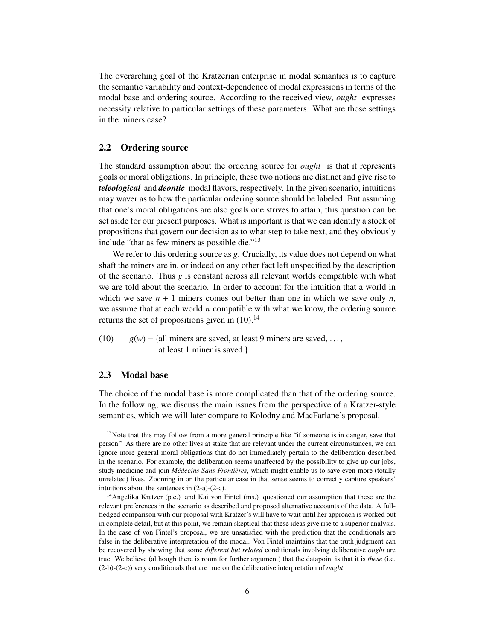The overarching goal of the Kratzerian enterprise in modal semantics is to capture the semantic variability and context-dependence of modal expressions in terms of the modal base and ordering source. According to the received view, *ought* expresses necessity relative to particular settings of these parameters. What are those settings in the miners case?

### 2.2 Ordering source

The standard assumption about the ordering source for *ought* is that it represents goals or moral obligations. In principle, these two notions are distinct and give rise to *teleological* and *deontic* modal flavors, respectively. In the given scenario, intuitions may waver as to how the particular ordering source should be labeled. But assuming that one's moral obligations are also goals one strives to attain, this question can be set aside for our present purposes. What is important is that we can identify a stock of propositions that govern our decision as to what step to take next, and they obviously include "that as few miners as possible die."<sup>13</sup>

We refer to this ordering source as *g*. Crucially, its value does not depend on what shaft the miners are in, or indeed on any other fact left unspecified by the description of the scenario. Thus *g* is constant across all relevant worlds compatible with what we are told about the scenario. In order to account for the intuition that a world in which we save  $n + 1$  miners comes out better than one in which we save only *n*, we assume that at each world *w* compatible with what we know, the ordering source returns the set of propositions given in  $(10).<sup>14</sup>$ 

(10)  $g(w) = \{all \text{ miners are saved, at least 9 miners are saved, ...,}$ at least 1 miner is saved }

### 2.3 Modal base

The choice of the modal base is more complicated than that of the ordering source. In the following, we discuss the main issues from the perspective of a Kratzer-style semantics, which we will later compare to Kolodny and MacFarlane's proposal.

<sup>&</sup>lt;sup>13</sup>Note that this may follow from a more general principle like "if someone is in danger, save that person." As there are no other lives at stake that are relevant under the current circumstances, we can ignore more general moral obligations that do not immediately pertain to the deliberation described in the scenario. For example, the deliberation seems unaffected by the possibility to give up our jobs, study medicine and join *Médecins Sans Frontières*, which might enable us to save even more (totally unrelated) lives. Zooming in on the particular case in that sense seems to correctly capture speakers' intuitions about the sentences in (2-a)-(2-c).

<sup>&</sup>lt;sup>14</sup>Angelika Kratzer (p.c.) and Kai von Fintel (ms.) questioned our assumption that these are the relevant preferences in the scenario as described and proposed alternative accounts of the data. A fullfledged comparison with our proposal with Kratzer's will have to wait until her approach is worked out in complete detail, but at this point, we remain skeptical that these ideas give rise to a superior analysis. In the case of von Fintel's proposal, we are unsatisfied with the prediction that the conditionals are false in the deliberative interpretation of the modal. Von Fintel maintains that the truth judgment can be recovered by showing that some *di*ff*erent but related* conditionals involving deliberative *ought* are true. We believe (although there is room for further argument) that the datapoint is that it is *these* (i.e. (2-b)-(2-c)) very conditionals that are true on the deliberative interpretation of *ought*.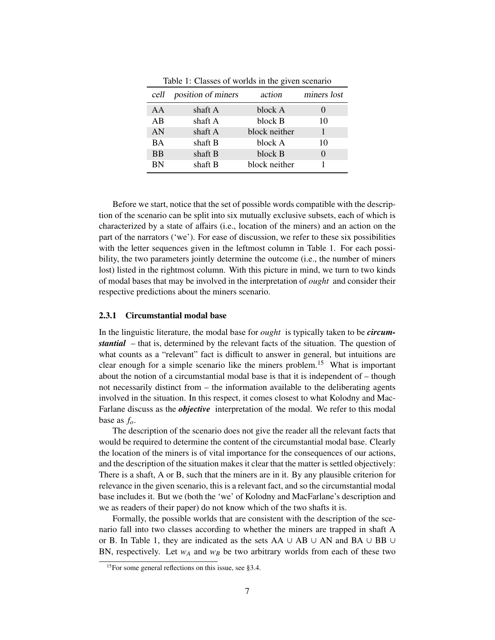| cell      | position of miners | action        | miners lost |
|-----------|--------------------|---------------|-------------|
| AA        | shaft A            | block A       |             |
| AB        | shaft A            | block B       | 10          |
| AN        | shaft A            | block neither |             |
| BA        | shaft B            | block A       | 10          |
| <b>BB</b> | shaft B            | block B       |             |
| BN        | shaft B            | block neither |             |

Table 1: Classes of worlds in the given scenario

Before we start, notice that the set of possible words compatible with the description of the scenario can be split into six mutually exclusive subsets, each of which is characterized by a state of affairs (i.e., location of the miners) and an action on the part of the narrators ('we'). For ease of discussion, we refer to these six possibilities with the letter sequences given in the leftmost column in Table 1. For each possibility, the two parameters jointly determine the outcome (i.e., the number of miners lost) listed in the rightmost column. With this picture in mind, we turn to two kinds of modal bases that may be involved in the interpretation of *ought* and consider their respective predictions about the miners scenario.

### 2.3.1 Circumstantial modal base

In the linguistic literature, the modal base for *ought* is typically taken to be *circumstantial* – that is, determined by the relevant facts of the situation. The question of what counts as a "relevant" fact is difficult to answer in general, but intuitions are clear enough for a simple scenario like the miners problem.<sup>15</sup> What is important about the notion of a circumstantial modal base is that it is independent of – though not necessarily distinct from – the information available to the deliberating agents involved in the situation. In this respect, it comes closest to what Kolodny and Mac-Farlane discuss as the *objective* interpretation of the modal. We refer to this modal base as *fo*.

The description of the scenario does not give the reader all the relevant facts that would be required to determine the content of the circumstantial modal base. Clearly the location of the miners is of vital importance for the consequences of our actions, and the description of the situation makes it clear that the matter is settled objectively: There is a shaft, A or B, such that the miners are in it. By any plausible criterion for relevance in the given scenario, this is a relevant fact, and so the circumstantial modal base includes it. But we (both the 'we' of Kolodny and MacFarlane's description and we as readers of their paper) do not know which of the two shafts it is.

Formally, the possible worlds that are consistent with the description of the scenario fall into two classes according to whether the miners are trapped in shaft A or B. In Table 1, they are indicated as the sets AA ∪ AB ∪ AN and BA ∪ BB ∪ BN, respectively. Let  $w_A$  and  $w_B$  be two arbitrary worlds from each of these two

<sup>&</sup>lt;sup>15</sup>For some general reflections on this issue, see §3.4.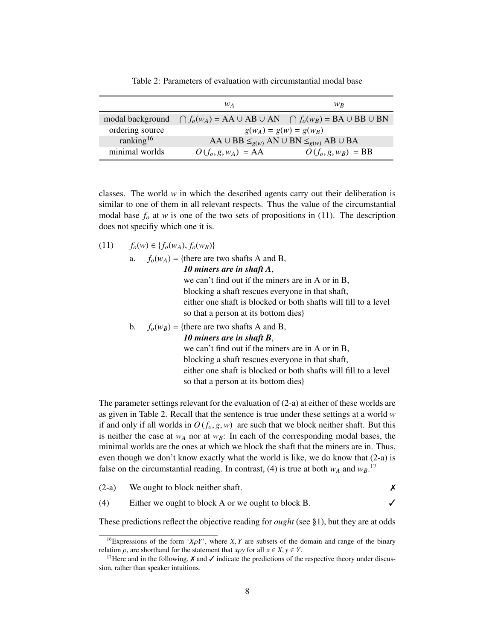|                       | W <sub>A</sub>                                                                      | $W_R$                 |
|-----------------------|-------------------------------------------------------------------------------------|-----------------------|
| modal background      | $\bigcap f_o(w_A) = AA \cup AB \cup AN \quad \bigcap f_o(w_B) = BA \cup BB \cup BN$ |                       |
| ordering source       | $g(w_A) = g(w) = g(w_B)$                                                            |                       |
| ranking <sup>16</sup> | AA $\cup$ BB $\leq_{g(w)}$ AN $\cup$ BN $\leq_{g(w)}$ AB $\cup$ BA                  |                       |
| minimal worlds        | $O(f_o, g, w_A) = AA$                                                               | $O(f_o, g, w_B) = BB$ |

Table 2: Parameters of evaluation with circumstantial modal base

classes. The world *w* in which the described agents carry out their deliberation is similar to one of them in all relevant respects. Thus the value of the circumstantial modal base  $f<sub>o</sub>$  at *w* is one of the two sets of propositions in (11). The description does not specifiy which one it is.

(11) 
$$
f_o(w) \in \{f_o(w_A), f_o(w_B)\}\
$$

a. 
$$
f_o(w_A) = \{ \text{there are two shafts A and B,}
$$

10 miners are in shaft 
$$
A
$$
,

we can't find out if the miners are in A or in B, blocking a shaft rescues everyone in that shaft, either one shaft is blocked or both shafts will fill to a level so that a person at its bottom dies}

b. 
$$
f_o(w_B) = \{ \text{there are two shafts A and B,}
$$

*10 miners are in shaft B*,

we can't find out if the miners are in A or in B, blocking a shaft rescues everyone in that shaft, either one shaft is blocked or both shafts will fill to a level so that a person at its bottom dies}

The parameter settings relevant for the evaluation of (2-a) at either of these worlds are as given in Table 2. Recall that the sentence is true under these settings at a world *w* if and only if all worlds in  $O(f_0, g, w)$  are such that we block neither shaft. But this is neither the case at  $w_A$  nor at  $w_B$ : In each of the corresponding modal bases, the minimal worlds are the ones at which we block the shaft that the miners are in. Thus, even though we don't know exactly what the world is like, we do know that (2-a) is false on the circumstantial reading. In contrast, (4) is true at both  $w_A$  and  $w_B$ .<sup>17</sup>

| $(2-a)$ | We ought to block neither shaft. |  |
|---------|----------------------------------|--|
|         |                                  |  |

(4) Either we ought to block A or we ought to block B.  $\checkmark$ 

These predictions reflect the objective reading for *ought* (see §1), but they are at odds

<sup>&</sup>lt;sup>16</sup>Expressions of the form ' $X \rho Y$ ', where *X*, *Y* are subsets of the domain and range of the binary relation  $\rho$ , are shorthand for the statement that *xρy* for all  $x \in X$ ,  $y \in Y$ .

<sup>&</sup>lt;sup>17</sup>Here and in the following,  $\chi$  and  $\chi$  indicate the predictions of the respective theory under discussion, rather than speaker intuitions.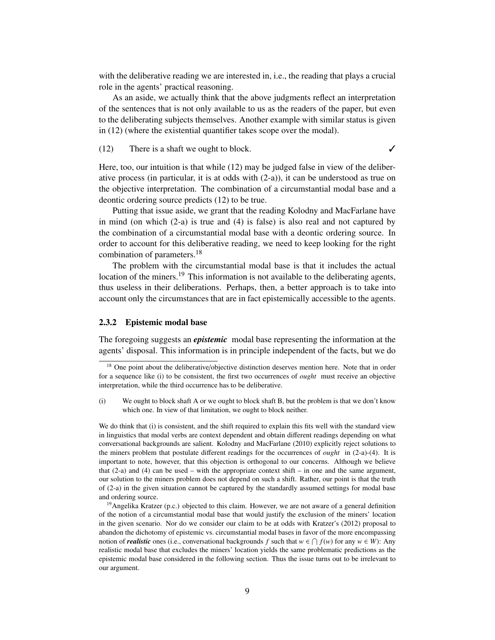with the deliberative reading we are interested in, i.e., the reading that plays a crucial role in the agents' practical reasoning.

As an aside, we actually think that the above judgments reflect an interpretation of the sentences that is not only available to us as the readers of the paper, but even to the deliberating subjects themselves. Another example with similar status is given in (12) (where the existential quantifier takes scope over the modal).

(12) There is a shaft we ought to block.  $\checkmark$ 

Here, too, our intuition is that while (12) may be judged false in view of the deliberative process (in particular, it is at odds with (2-a)), it can be understood as true on the objective interpretation. The combination of a circumstantial modal base and a deontic ordering source predicts (12) to be true.

Putting that issue aside, we grant that the reading Kolodny and MacFarlane have in mind (on which (2-a) is true and (4) is false) is also real and not captured by the combination of a circumstantial modal base with a deontic ordering source. In order to account for this deliberative reading, we need to keep looking for the right combination of parameters.<sup>18</sup>

The problem with the circumstantial modal base is that it includes the actual location of the miners.<sup>19</sup> This information is not available to the deliberating agents, thus useless in their deliberations. Perhaps, then, a better approach is to take into account only the circumstances that are in fact epistemically accessible to the agents.

#### 2.3.2 Epistemic modal base

The foregoing suggests an *epistemic* modal base representing the information at the agents' disposal. This information is in principle independent of the facts, but we do

We do think that (i) is consistent, and the shift required to explain this fits well with the standard view in linguistics that modal verbs are context dependent and obtain different readings depending on what conversational backgrounds are salient. Kolodny and MacFarlane (2010) explicitly reject solutions to the miners problem that postulate different readings for the occurrences of *ought* in (2-a)-(4). It is important to note, however, that this objection is orthogonal to our concerns. Although we believe that  $(2-a)$  and  $(4)$  can be used – with the appropriate context shift – in one and the same argument, our solution to the miners problem does not depend on such a shift. Rather, our point is that the truth of (2-a) in the given situation cannot be captured by the standardly assumed settings for modal base and ordering source.

<sup>19</sup>Angelika Kratzer (p.c.) objected to this claim. However, we are not aware of a general definition of the notion of a circumstantial modal base that would justify the exclusion of the miners' location in the given scenario. Nor do we consider our claim to be at odds with Kratzer's (2012) proposal to abandon the dichotomy of epistemic vs. circumstantial modal bases in favor of the more encompassing notion of *realistic* ones (i.e., conversational backgrounds f such that  $w \in \bigcap f(w)$  for any  $w \in W$ ): Any realistic modal base that excludes the miners' location yields the same problematic predictions as the epistemic modal base considered in the following section. Thus the issue turns out to be irrelevant to our argument.

<sup>&</sup>lt;sup>18</sup> One point about the deliberative/objective distinction deserves mention here. Note that in order for a sequence like (i) to be consistent, the first two occurrences of *ought* must receive an objective interpretation, while the third occurrence has to be deliberative.

<sup>(</sup>i) We ought to block shaft A or we ought to block shaft B, but the problem is that we don't know which one. In view of that limitation, we ought to block neither.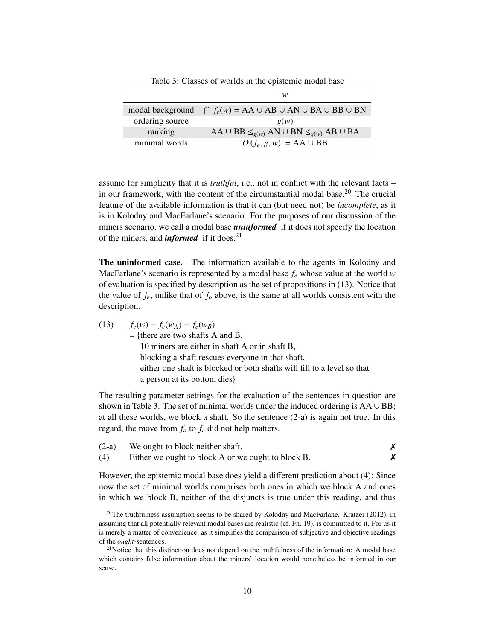|                  | w                                                                  |
|------------------|--------------------------------------------------------------------|
| modal background | $\bigcap f_e(w) = AA \cup AB \cup AN \cup BA \cup BB \cup BN$      |
| ordering source  | g(w)                                                               |
| ranking          | AA $\cup$ BB $\leq_{g(w)}$ AN $\cup$ BN $\leq_{g(w)}$ AB $\cup$ BA |
| minimal words    | $O(f_e, g, w) = AA \cup BB$                                        |
|                  |                                                                    |

Table 3: Classes of worlds in the epistemic modal base

assume for simplicity that it is *truthful*, i.e., not in conflict with the relevant facts – in our framework, with the content of the circumstantial modal base.<sup>20</sup> The crucial feature of the available information is that it can (but need not) be *incomplete*, as it is in Kolodny and MacFarlane's scenario. For the purposes of our discussion of the miners scenario, we call a modal base *uninformed* if it does not specify the location of the miners, and *informed* if it does.<sup>21</sup>

The uninformed case. The information available to the agents in Kolodny and MacFarlane's scenario is represented by a modal base *f<sup>e</sup>* whose value at the world *w* of evaluation is specified by description as the set of propositions in (13). Notice that the value of  $f_e$ , unlike that of  $f_o$  above, is the same at all worlds consistent with the description.

(13)  $f_e(w) = f_e(w_A) = f_e(w_B)$  $=$  {there are two shafts A and B, 10 miners are either in shaft A or in shaft B, blocking a shaft rescues everyone in that shaft, either one shaft is blocked or both shafts will fill to a level so that a person at its bottom dies}

The resulting parameter settings for the evaluation of the sentences in question are shown in Table 3. The set of minimal worlds under the induced ordering is  $AA \cup BB$ ; at all these worlds, we block a shaft. So the sentence (2-a) is again not true. In this regard, the move from *f<sup>o</sup>* to *f<sup>e</sup>* did not help matters.

(2-a) We ought to block neither shaft.  $\times$ 

(4) Either we ought to block A or we ought to block B.  $\times$ 

However, the epistemic modal base does yield a different prediction about (4): Since now the set of minimal worlds comprises both ones in which we block A and ones in which we block B, neither of the disjuncts is true under this reading, and thus

<sup>&</sup>lt;sup>20</sup>The truthfulness assumption seems to be shared by Kolodny and MacFarlane. Kratzer (2012), in assuming that all potentially relevant modal bases are realistic (cf. Fn. 19), is committed to it. For us it is merely a matter of convenience, as it simplifies the comparison of subjective and objective readings of the *ought*-sentences.

 $21$ Notice that this distinction does not depend on the truthfulness of the information: A modal base which contains false information about the miners' location would nonetheless be informed in our sense.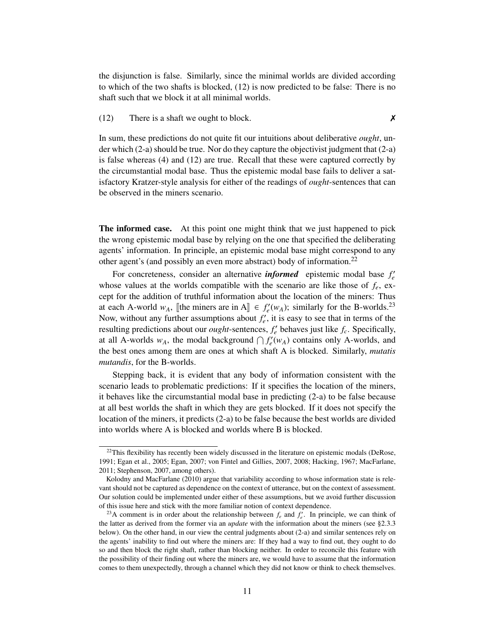the disjunction is false. Similarly, since the minimal worlds are divided according to which of the two shafts is blocked, (12) is now predicted to be false: There is no shaft such that we block it at all minimal worlds.

(12) There is a shaft we ought to block.  $\boldsymbol{\chi}$ 

In sum, these predictions do not quite fit our intuitions about deliberative *ought*, under which (2-a) should be true. Nor do they capture the objectivist judgment that (2-a) is false whereas (4) and (12) are true. Recall that these were captured correctly by the circumstantial modal base. Thus the epistemic modal base fails to deliver a satisfactory Kratzer-style analysis for either of the readings of *ought*-sentences that can be observed in the miners scenario.

The informed case. At this point one might think that we just happened to pick the wrong epistemic modal base by relying on the one that specified the deliberating agents' information. In principle, an epistemic modal base might correspond to any other agent's (and possibly an even more abstract) body of information.<sup>22</sup>

For concreteness, consider an alternative *informed* epistemic modal base  $f'_e$ whose values at the worlds compatible with the scenario are like those of *fe*, except for the addition of truthful information about the location of the miners: Thus at each A-world  $w_A$ , [the miners are in  $A$ ]  $\in f'_e(w_A)$ ; similarly for the B-worlds.<sup>23</sup><br>Now without one further assumptions about  $f'_e$  it is good to see that in terms of the Now, without any further assumptions about  $f'_{e}$ , it is easy to see that in terms of the resulting predictions about our *ought*-sentences,  $f'_e$  behaves just like  $f_c$ . Specifically, at all A-worlds  $w_A$ , the modal background  $\bigcap f'_e(w_A)$  contains only A-worlds, and the best ones among them are ones at which shaft A is blocked. Similarly, *mutatis mutandis*, for the B-worlds.

Stepping back, it is evident that any body of information consistent with the scenario leads to problematic predictions: If it specifies the location of the miners, it behaves like the circumstantial modal base in predicting (2-a) to be false because at all best worlds the shaft in which they are gets blocked. If it does not specify the location of the miners, it predicts (2-a) to be false because the best worlds are divided into worlds where A is blocked and worlds where B is blocked.

 $^{22}$ This flexibility has recently been widely discussed in the literature on epistemic modals (DeRose, 1991; Egan et al., 2005; Egan, 2007; von Fintel and Gillies, 2007, 2008; Hacking, 1967; MacFarlane, 2011; Stephenson, 2007, among others).

Kolodny and MacFarlane (2010) argue that variability according to whose information state is relevant should not be captured as dependence on the context of utterance, but on the context of assessment. Our solution could be implemented under either of these assumptions, but we avoid further discussion of this issue here and stick with the more familiar notion of context dependence.

<sup>&</sup>lt;sup>23</sup>A comment is in order about the relationship between  $f_e$  and  $f'_e$ . In principle, we can think of the latter as derived from the former via an *update* with the information about the miners (see §2.3.3 below). On the other hand, in our view the central judgments about (2-a) and similar sentences rely on the agents' inability to find out where the miners are: If they had a way to find out, they ought to do so and then block the right shaft, rather than blocking neither. In order to reconcile this feature with the possibility of their finding out where the miners are, we would have to assume that the information comes to them unexpectedly, through a channel which they did not know or think to check themselves.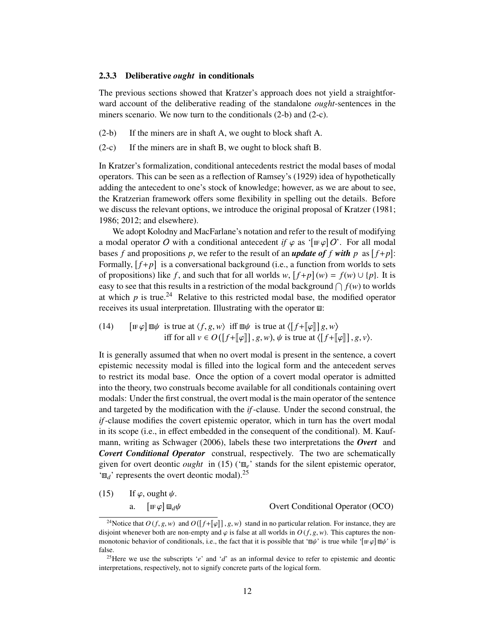### 2.3.3 Deliberative *ought* in conditionals

The previous sections showed that Kratzer's approach does not yield a straightforward account of the deliberative reading of the standalone *ought*-sentences in the miners scenario. We now turn to the conditionals (2-b) and (2-c).

- (2-b) If the miners are in shaft A, we ought to block shaft A.
- (2-c) If the miners are in shaft B, we ought to block shaft B.

In Kratzer's formalization, conditional antecedents restrict the modal bases of modal operators. This can be seen as a reflection of Ramsey's (1929) idea of hypothetically adding the antecedent to one's stock of knowledge; however, as we are about to see, the Kratzerian framework offers some flexibility in spelling out the details. Before we discuss the relevant options, we introduce the original proposal of Kratzer (1981; 1986; 2012; and elsewhere).

We adopt Kolodny and MacFarlane's notation and refer to the result of modifying a modal operator O with a conditional antecedent *if*  $\varphi$  as ' $[\text{IF}\varphi]$ O'. For all modal<br>hases f and propositions n we refer to the result of an *undate of f with* n as [f + n]; bases *f* and propositions *p*, we refer to the result of an *update of f* with *p* as  $[f+p]$ : Formally,  $[f+p]$  is a conversational background (i.e., a function from worlds to sets of propositions) like *f*, and such that for all worlds *w*,  $[f+p](w) = f(w) \cup \{p\}$ . It is easy to see that this results in a restriction of the modal background  $\bigcap f(w)$  to worlds at which  $p$  is true.<sup>24</sup> Relative to this restricted modal base, the modified operator receives its usual interpretation. Illustrating with the operator  $\mathbf{m}$ :

(14) 
$$
[\text{IF }\varphi] \boxplus \psi \text{ is true at } \langle f, g, w \rangle \text{ iff } \boxplus \psi \text{ is true at } \langle [f + [\varphi]]] g, w \rangle
$$
  
iff for all  $v \in O([f + [\varphi]], g, w), \psi \text{ is true at } \langle [f + [\varphi]], g, v \rangle.$ 

It is generally assumed that when no overt modal is present in the sentence, a covert epistemic necessity modal is filled into the logical form and the antecedent serves to restrict its modal base. Once the option of a covert modal operator is admitted into the theory, two construals become available for all conditionals containing overt modals: Under the first construal, the overt modal is the main operator of the sentence and targeted by the modification with the *if*-clause. Under the second construal, the *if*-clause modifies the covert epistemic operator, which in turn has the overt modal in its scope (i.e., in effect embedded in the consequent of the conditional). M. Kaufmann, writing as Schwager (2006), labels these two interpretations the *Overt* and *Covert Conditional Operator* construal, respectively. The two are schematically given for overt deontic *ought* in (15) ( $\mathbb{E}_e$ <sup>2</sup> stands for the silent epistemic operator,  $\mathcal{H}_{d}$  represents the overt deontic modal).<sup>25</sup>

- (15) If  $\varphi$ , ought  $\psi$ .
	- a. IF  $\varphi$

## **Overt Conditional Operator (OCO)**

<sup>&</sup>lt;sup>24</sup>Notice that  $O(f, g, w)$  and  $O([f + ||\varphi]]$ ,  $g, w)$  stand in no particular relation. For instance, they are initially the proportion of the state of the state of the state of the state of the state of the state of the state disjoint whenever both are non-empty and  $\varphi$  is false at all worlds in  $O(f, g, w)$ . This captures the nonmonotonic behavior of conditionals, i.e., the fact that it is possible that ' $\mathbb{E} \psi$ ' is true while ' $[\mathbb{F} \varphi] \mathbb{E} \psi'$ ' is false false.

<sup>25</sup>Here we use the subscripts '*e*' and '*d*' as an informal device to refer to epistemic and deontic interpretations, respectively, not to signify concrete parts of the logical form.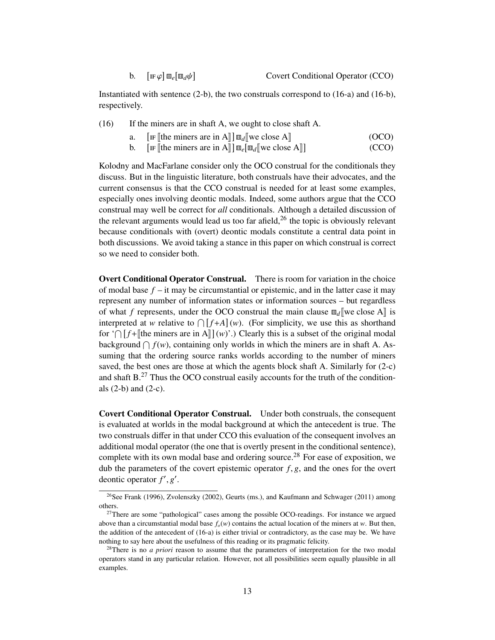Instantiated with sentence  $(2-b)$ , the two construals correspond to  $(16-a)$  and  $(16-b)$ , respectively.

(16) If the miners are in shaft A, we ought to close shaft A.

| a. [IF the miners are in A]] $\mathbb{E}_d$ we close A]                                | (OCO)  |
|----------------------------------------------------------------------------------------|--------|
| $\mathbf{h}$ [in the miners are in $\Lambda$ let $\mathbb{R}$ [ive alone $\Lambda$ let | (0.00) |

| b. [IF [the miners are in A]] $\mathbb{E}_{e}[\mathbb{E}_{d}[\text{we close A}]]$ |  | (CCO) |
|-----------------------------------------------------------------------------------|--|-------|
|                                                                                   |  |       |

Kolodny and MacFarlane consider only the OCO construal for the conditionals they discuss. But in the linguistic literature, both construals have their advocates, and the current consensus is that the CCO construal is needed for at least some examples, especially ones involving deontic modals. Indeed, some authors argue that the CCO construal may well be correct for *all* conditionals. Although a detailed discussion of the relevant arguments would lead us too far afield,  $^{26}$  the topic is obviously relevant because conditionals with (overt) deontic modals constitute a central data point in both discussions. We avoid taking a stance in this paper on which construal is correct so we need to consider both.

Overt Conditional Operator Construal. There is room for variation in the choice of modal base  $f -$ it may be circumstantial or epistemic, and in the latter case it may represent any number of information states or information sources – but regardless of what *f* represents, under the OCO construal the main clause  $\mathbb{E}_d$  we close A is interpreted at *w* relative to  $\bigcap [f+A](w)$ . (For simplicity, we use this as shorthand for ' $\bigcap [f+[[\text{the miners are in A]]](w)$ '.) Clearly this is a subset of the original modal<br>healthcound  $\bigcirc f(w)$  containing only worlds in which the miners are in shaft A. As background  $\bigcap f(w)$ , containing only worlds in which the miners are in shaft A. Assuming that the ordering source ranks worlds according to the number of miners saved, the best ones are those at which the agents block shaft A. Similarly for (2-c) and shaft  $B<sup>27</sup>$ . Thus the OCO construal easily accounts for the truth of the conditionals (2-b) and (2-c).

Covert Conditional Operator Construal. Under both construals, the consequent is evaluated at worlds in the modal background at which the antecedent is true. The two construals differ in that under CCO this evaluation of the consequent involves an additional modal operator (the one that is overtly present in the conditional sentence), complete with its own modal base and ordering source.<sup>28</sup> For ease of exposition, we dub the parameters of the covert epistemic operator  $f$ ,  $g$ , and the ones for the overt deontic operator  $f$ <sup>'</sup>,  $g'$ .

<sup>&</sup>lt;sup>26</sup>See Frank (1996), Zvolenszky (2002), Geurts (ms.), and Kaufmann and Schwager (2011) among others.

 $27$ There are some "pathological" cases among the possible OCO-readings. For instance we argued above than a circumstantial modal base  $f<sub>o</sub>(w)$  contains the actual location of the miners at *w*. But then, the addition of the antecedent of (16-a) is either trivial or contradictory, as the case may be. We have nothing to say here about the usefulness of this reading or its pragmatic felicity.

<sup>28</sup>There is no *a priori* reason to assume that the parameters of interpretation for the two modal operators stand in any particular relation. However, not all possibilities seem equally plausible in all examples.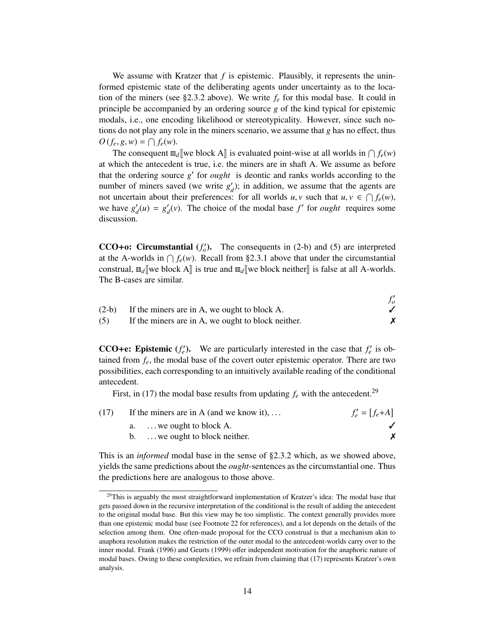We assume with Kratzer that  $f$  is epistemic. Plausibly, it represents the uninformed epistemic state of the deliberating agents under uncertainty as to the location of the miners (see §2.3.2 above). We write  $f_e$  for this modal base. It could in principle be accompanied by an ordering source *g* of the kind typical for epistemic modals, i.e., one encoding likelihood or stereotypicality. However, since such notions do not play any role in the miners scenario, we assume that *g* has no effect, thus  $O(f_e, g, w) = \bigcap f_e(w).$ <br>The concompany  $\blacksquare$ 

The consequent  $\mathbb{E}_d$  [we block A] is evaluated point-wise at all worlds in  $\bigcap f_e(w)$ at which the antecedent is true, i.e. the miners are in shaft A. We assume as before that the ordering source  $g'$  for *ought* is deontic and ranks worlds according to the number of miners saved (we write  $g'$  $d$ <sub>*d*</sub>); in addition, we assume that the agents are not uncertain about their preferences: for all worlds *u*, *v* such that  $u, v \in \bigcap f_e(w)$ , we have  $a'(u) = a'(v)$ . The choice of the modal hase f' for quality requires some we have  $g'$  $d'_{d}(u) = g'_{d}$  $d(v)$ . The choice of the modal base  $f'$  for *ought* requires some discussion.

**CCO+o:** Circumstantial  $(f'_o)$ . The consequents in (2-b) and (5) are interpreted at the A-worlds in  $\bigcap f_e(w)$ . Recall from §2.3.1 above that under the circumstantial construal,  $\mathbb{E}_d[\![we\!]$  block A $]\!]$  is true and  $\mathbb{E}_d[\![we\!]$  block neither $]\!]$  is false at all A-worlds. The B-cases are similar.

|         |                                                    | $J_{\Omega}$ |
|---------|----------------------------------------------------|--------------|
| $(2-b)$ | If the miners are in A, we ought to block A.       |              |
| (5)     | If the miners are in A, we ought to block neither. |              |

**CCO+e:** Epistemic  $(f_e)$ . We are particularly interested in the case that  $f_e$  is obtained from  $f_e$ , the modal base of the covert outer epistemic operator. There are two possibilities, each corresponding to an intuitively available reading of the conditional antecedent.

First, in (17) the modal base results from updating  $f_e$  with the antecedent.<sup>29</sup>

| If the miners are in A (and we know it), $\dots$ | $f'_{e} = [f_{e} + A]$ |
|--------------------------------------------------|------------------------|
| a. $\ldots$ we ought to block A.                 |                        |
| b. $\ldots$ we ought to block neither.           |                        |
|                                                  |                        |

This is an *informed* modal base in the sense of §2.3.2 which, as we showed above, yields the same predictions about the *ought*-sentences as the circumstantial one. Thus the predictions here are analogous to those above.

 $29$ This is arguably the most straightforward implementation of Kratzer's idea: The modal base that gets passed down in the recursive interpretation of the conditional is the result of adding the antecedent to the original modal base. But this view may be too simplistic. The context generally provides more than one epistemic modal base (see Footnote 22 for references), and a lot depends on the details of the selection among them. One often-made proposal for the CCO construal is that a mechanism akin to anaphora resolution makes the restriction of the outer modal to the antecedent-worlds carry over to the inner modal. Frank (1996) and Geurts (1999) offer independent motivation for the anaphoric nature of modal bases. Owing to these complexities, we refrain from claiming that (17) represents Kratzer's own analysis.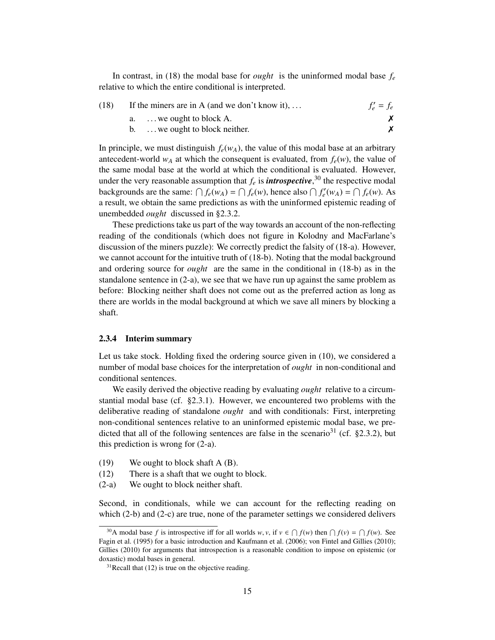In contrast, in (18) the modal base for *ought* is the uninformed modal base  $f_e$ relative to which the entire conditional is interpreted.

| (18) | If the miners are in A (and we don't know it), $\dots$ | $f'_e = f_e$ |
|------|--------------------------------------------------------|--------------|
|      | a. $\ldots$ we ought to block A.                       |              |
|      | b.  we ought to block neither.                         |              |

In principle, we must distinguish  $f_e(w_A)$ , the value of this modal base at an arbitrary antecedent-world  $w_A$  at which the consequent is evaluated, from  $f_e(w)$ , the value of the same modal base at the world at which the conditional is evaluated. However, under the very reasonable assumption that  $f_e$  is *introspective*,<sup>30</sup> the respective modal backgrounds are the same:  $\bigcap f_e(w_A) = \bigcap f_e(w)$ , hence also  $\bigcap f'_e(w_A) = \bigcap f_e(w)$ . As a result, we obtain the same predictions as with the uninformed epistemic reading of unembedded *ought* discussed in §2.3.2.

These predictions take us part of the way towards an account of the non-reflecting reading of the conditionals (which does not figure in Kolodny and MacFarlane's discussion of the miners puzzle): We correctly predict the falsity of (18-a). However, we cannot account for the intuitive truth of (18-b). Noting that the modal background and ordering source for *ought* are the same in the conditional in (18-b) as in the standalone sentence in (2-a), we see that we have run up against the same problem as before: Blocking neither shaft does not come out as the preferred action as long as there are worlds in the modal background at which we save all miners by blocking a shaft.

### 2.3.4 Interim summary

Let us take stock. Holding fixed the ordering source given in (10), we considered a number of modal base choices for the interpretation of *ought* in non-conditional and conditional sentences.

We easily derived the objective reading by evaluating *ought* relative to a circumstantial modal base (cf. §2.3.1). However, we encountered two problems with the deliberative reading of standalone *ought* and with conditionals: First, interpreting non-conditional sentences relative to an uninformed epistemic modal base, we predicted that all of the following sentences are false in the scenario<sup>31</sup> (cf. §2.3.2), but this prediction is wrong for (2-a).

- (19) We ought to block shaft A (B).
- (12) There is a shaft that we ought to block.
- (2-a) We ought to block neither shaft.

Second, in conditionals, while we can account for the reflecting reading on which (2-b) and (2-c) are true, none of the parameter settings we considered delivers

<sup>&</sup>lt;sup>30</sup>A modal base *f* is introspective iff for all worlds *w*, *v*, if  $v \in \bigcap f(w)$  then  $\bigcap f(v) = \bigcap f(w)$ . See Fagin et al. (1995) for a basic introduction and Kaufmann et al. (2006); von Fintel and Gillies (2010); Gillies (2010) for arguments that introspection is a reasonable condition to impose on epistemic (or doxastic) modal bases in general.

 $31$  Recall that (12) is true on the objective reading.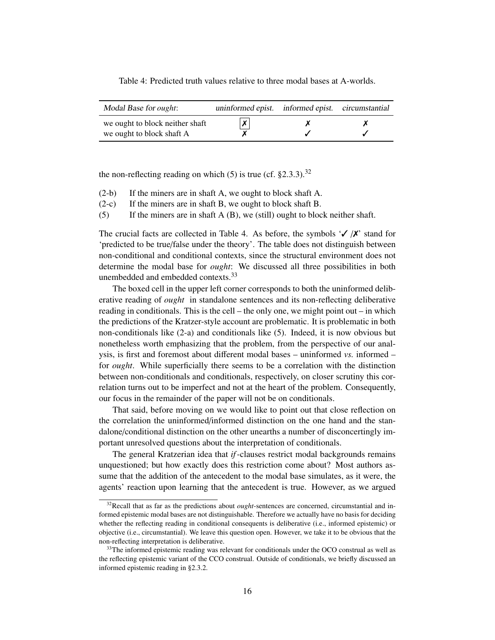| Modal Base for <i>ought</i> :                                | uninformed epist. informed epist. circumstantial |  |
|--------------------------------------------------------------|--------------------------------------------------|--|
| we ought to block neither shaft<br>we ought to block shaft A | $\boldsymbol{\mathsf{x}}$                        |  |

Table 4: Predicted truth values relative to three modal bases at A-worlds.

the non-reflecting reading on which (5) is true (cf.  $\S 2.3.3$ ).<sup>32</sup>

- (2-b) If the miners are in shaft A, we ought to block shaft A.
- (2-c) If the miners are in shaft B, we ought to block shaft B.
- (5) If the miners are in shaft A (B), we (still) ought to block neither shaft.

The crucial facts are collected in Table 4. As before, the symbols ' $\checkmark$  / $\checkmark$ ' stand for 'predicted to be true/false under the theory'. The table does not distinguish between non-conditional and conditional contexts, since the structural environment does not determine the modal base for *ought*: We discussed all three possibilities in both unembedded and embedded contexts.<sup>33</sup>

The boxed cell in the upper left corner corresponds to both the uninformed deliberative reading of *ought* in standalone sentences and its non-reflecting deliberative reading in conditionals. This is the cell – the only one, we might point out – in which the predictions of the Kratzer-style account are problematic. It is problematic in both non-conditionals like (2-a) and conditionals like (5). Indeed, it is now obvious but nonetheless worth emphasizing that the problem, from the perspective of our analysis, is first and foremost about different modal bases – uninformed *vs.* informed – for *ought*. While superficially there seems to be a correlation with the distinction between non-conditionals and conditionals, respectively, on closer scrutiny this correlation turns out to be imperfect and not at the heart of the problem. Consequently, our focus in the remainder of the paper will not be on conditionals.

That said, before moving on we would like to point out that close reflection on the correlation the uninformed/informed distinction on the one hand and the standalone/conditional distinction on the other unearths a number of disconcertingly important unresolved questions about the interpretation of conditionals.

The general Kratzerian idea that *if*-clauses restrict modal backgrounds remains unquestioned; but how exactly does this restriction come about? Most authors assume that the addition of the antecedent to the modal base simulates, as it were, the agents' reaction upon learning that the antecedent is true. However, as we argued

<sup>32</sup>Recall that as far as the predictions about *ought*-sentences are concerned, circumstantial and informed epistemic modal bases are not distinguishable. Therefore we actually have no basis for deciding whether the reflecting reading in conditional consequents is deliberative (i.e., informed epistemic) or objective (i.e., circumstantial). We leave this question open. However, we take it to be obvious that the non-reflecting interpretation is deliberative.

<sup>&</sup>lt;sup>33</sup>The informed epistemic reading was relevant for conditionals under the OCO construal as well as the reflecting epistemic variant of the CCO construal. Outside of conditionals, we briefly discussed an informed epistemic reading in §2.3.2.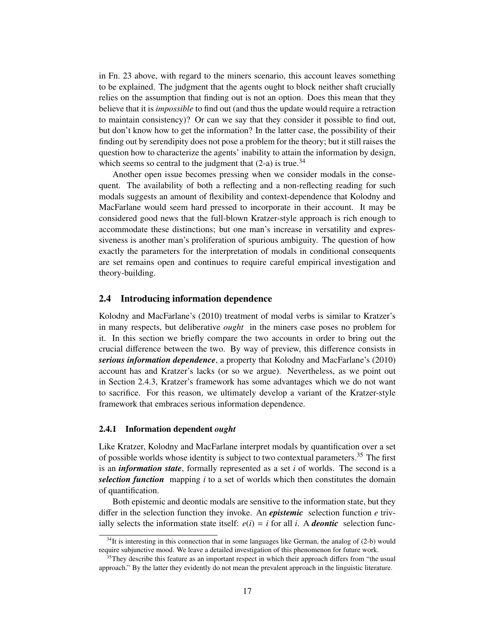in Fn. 23 above, with regard to the miners scenario, this account leaves something to be explained. The judgment that the agents ought to block neither shaft crucially relies on the assumption that finding out is not an option. Does this mean that they believe that it is *impossible* to find out (and thus the update would require a retraction to maintain consistency)? Or can we say that they consider it possible to find out, but don't know how to get the information? In the latter case, the possibility of their finding out by serendipity does not pose a problem for the theory; but it still raises the question how to characterize the agents' inability to attain the information by design, which seems so central to the judgment that  $(2-a)$  is true.<sup>34</sup>

Another open issue becomes pressing when we consider modals in the consequent. The availability of both a reflecting and a non-reflecting reading for such modals suggests an amount of flexibility and context-dependence that Kolodny and MacFarlane would seem hard pressed to incorporate in their account. It may be considered good news that the full-blown Kratzer-style approach is rich enough to accommodate these distinctions; but one man's increase in versatility and expressiveness is another man's proliferation of spurious ambiguity. The question of how exactly the parameters for the interpretation of modals in conditional consequents are set remains open and continues to require careful empirical investigation and theory-building.

### 2.4 Introducing information dependence

Kolodny and MacFarlane's (2010) treatment of modal verbs is similar to Kratzer's in many respects, but deliberative *ought* in the miners case poses no problem for it. In this section we briefly compare the two accounts in order to bring out the crucial difference between the two. By way of preview, this difference consists in *serious information dependence*, a property that Kolodny and MacFarlane's (2010) account has and Kratzer's lacks (or so we argue). Nevertheless, as we point out in Section 2.4.3, Kratzer's framework has some advantages which we do not want to sacrifice. For this reason, we ultimately develop a variant of the Kratzer-style framework that embraces serious information dependence.

#### 2.4.1 Information dependent *ought*

Like Kratzer, Kolodny and MacFarlane interpret modals by quantification over a set of possible worlds whose identity is subject to two contextual parameters.<sup>35</sup> The first is an *information state*, formally represented as a set *i* of worlds. The second is a *selection function* mapping *i* to a set of worlds which then constitutes the domain of quantification.

Both epistemic and deontic modals are sensitive to the information state, but they differ in the selection function they invoke. An *epistemic* selection function *e* trivially selects the information state itself:  $e(i) = i$  for all *i*. A *deontic* selection func-

 $34$ It is interesting in this connection that in some languages like German, the analog of (2-b) would require subjunctive mood. We leave a detailed investigation of this phenomenon for future work.

<sup>&</sup>lt;sup>35</sup>They describe this feature as an important respect in which their approach differs from "the usual" approach." By the latter they evidently do not mean the prevalent approach in the linguistic literature.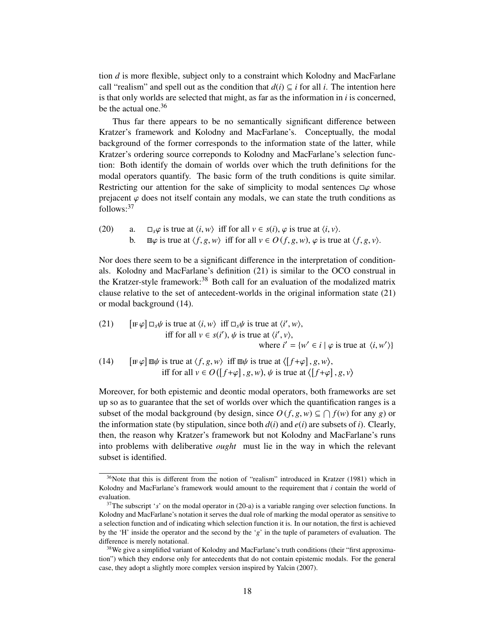tion *d* is more flexible, subject only to a constraint which Kolodny and MacFarlane call "realism" and spell out as the condition that  $d(i) \subseteq i$  for all *i*. The intention here is that only worlds are selected that might, as far as the information in *i* is concerned, be the actual one.<sup>36</sup>

Thus far there appears to be no semantically significant difference between Kratzer's framework and Kolodny and MacFarlane's. Conceptually, the modal background of the former corresponds to the information state of the latter, while Kratzer's ordering source correponds to Kolodny and MacFarlane's selection function: Both identify the domain of worlds over which the truth definitions for the modal operators quantify. The basic form of the truth conditions is quite similar. Restricting our attention for the sake of simplicity to modal sentences  $\Box \varphi$  whose prejacent  $\varphi$  does not itself contain any modals, we can state the truth conditions as follows:<sup>37</sup>

(20) a.  $\square_s \varphi$  is true at  $\langle i, w \rangle$  iff for all  $v \in s(i)$ ,  $\varphi$  is true at  $\langle i, v \rangle$ .<br>b.  $\square \varphi$  is true at  $\langle f, g, w \rangle$  iff for all  $v \in O(f, g, w)$ ,  $\varphi$  is true  $\Box \varphi$  is true at  $\langle f, g, w \rangle$  iff for all  $v \in O(f, g, w)$ ,  $\varphi$  is true at  $\langle f, g, v \rangle$ .

Nor does there seem to be a significant difference in the interpretation of conditionals. Kolodny and MacFarlane's definition (21) is similar to the OCO construal in the Kratzer-style framework:<sup>38</sup> Both call for an evaluation of the modalized matrix clause relative to the set of antecedent-worlds in the original information state (21) or modal background (14).

(21) 
$$
[\text{IF }\varphi] \Box_s \psi \text{ is true at } \langle i, w \rangle \text{ iff } \Box_s \psi \text{ is true at } \langle i', w \rangle, \\ \text{ iff for all } v \in s(i'), \psi \text{ is true at } \langle i', v \rangle, \\ \text{ where } i' = \{w' \in i \mid \varphi \text{ is true at } \langle i, w' \rangle\}
$$

 $(14)$ IF  $\varphi$   $\exists \psi$  is true at  $\langle f, g, w \rangle$  iff  $\exists \psi$  is true at  $\langle [f+\varphi], g, w \rangle$ ,<br>iff for all  $y \in O$  ( $\{f + \varphi\}$ ,  $g, w$ ),  $\psi$  is true at ( $\{f + \varphi\}$ iff for all  $v \in O([f + \varphi], g, w)$ ,  $\psi$  is true at  $\langle [f + \varphi], g, v \rangle$ 

Moreover, for both epistemic and deontic modal operators, both frameworks are set up so as to guarantee that the set of worlds over which the quantification ranges is a subset of the modal background (by design, since  $O(f, g, w) \subseteq \bigcap f(w)$  for any *g*) or the information state (by stipulation, since both  $d(i)$  and  $e(i)$  are subsets of *i*). Clearly the information state (by stipulation, since both  $d(i)$  and  $e(i)$  are subsets of *i*). Clearly, then, the reason why Kratzer's framework but not Kolodny and MacFarlane's runs into problems with deliberative *ought* must lie in the way in which the relevant subset is identified.

<sup>36</sup>Note that this is different from the notion of "realism" introduced in Kratzer (1981) which in Kolodny and MacFarlane's framework would amount to the requirement that *i* contain the world of evaluation.

<sup>&</sup>lt;sup>37</sup>The subscript 's' on the modal operator in (20-a) is a variable ranging over selection functions. In Kolodny and MacFarlane's notation it serves the dual role of marking the modal operator as sensitive to a selection function and of indicating which selection function it is. In our notation, the first is achieved by the 'H' inside the operator and the second by the '*g*' in the tuple of parameters of evaluation. The difference is merely notational.

<sup>&</sup>lt;sup>38</sup>We give a simplified variant of Kolodny and MacFarlane's truth conditions (their "first approximation") which they endorse only for antecedents that do not contain epistemic modals. For the general case, they adopt a slightly more complex version inspired by Yalcin (2007).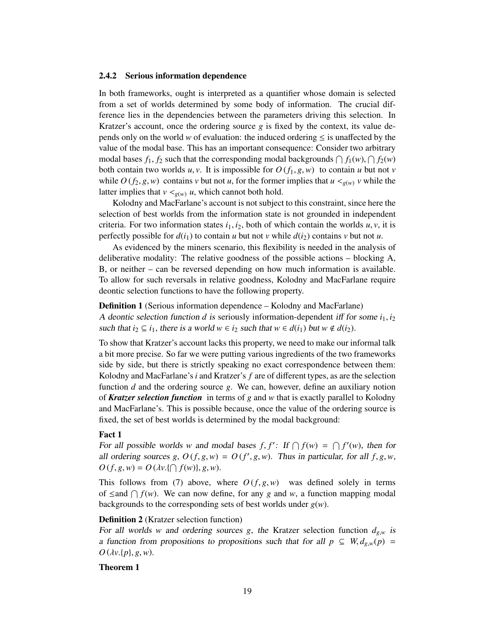#### 2.4.2 Serious information dependence

In both frameworks, ought is interpreted as a quantifier whose domain is selected from a set of worlds determined by some body of information. The crucial difference lies in the dependencies between the parameters driving this selection. In Kratzer's account, once the ordering source *g* is fixed by the context, its value depends only on the world *w* of evaluation: the induced ordering  $\leq$  is unaffected by the value of the modal base. This has an important consequence: Consider two arbitrary modal bases  $f_1$ ,  $f_2$  such that the corresponding modal backgrounds  $\bigcap f_1(w), \bigcap f_2(w)$ <br>both contain two worlds  $u, v$ . It is impossible for  $O(f, g, w)$ , to contain  $u$  but not  $w$ both contain two worlds *u*, *v*. It is impossible for  $O(f_1, g, w)$  to contain *u* but not *v* while  $O(f_2, g, w)$  contains *v* but not *u*, for the former implies that  $u <_{g(w)} v$  while the latter implies that  $v \lt_{g(w)} u$ , which cannot both hold.

Kolodny and MacFarlane's account is not subject to this constraint, since here the selection of best worlds from the information state is not grounded in independent criteria. For two information states  $i_1$ ,  $i_2$ , both of which contain the worlds  $u$ ,  $v$ , it is perfectly possible for  $d(i_1)$  to contain *u* but not *v* while  $d(i_2)$  contains *v* but not *u*.

As evidenced by the miners scenario, this flexibility is needed in the analysis of deliberative modality: The relative goodness of the possible actions – blocking A, B, or neither – can be reversed depending on how much information is available. To allow for such reversals in relative goodness, Kolodny and MacFarlane require deontic selection functions to have the following property.

**Definition 1** (Serious information dependence – Kolodny and MacFarlane) A deontic selection function *d* is seriously information-dependent iff for some  $i_1, i_2$ such that  $i_2 \subseteq i_1$ , there is a world  $w \in i_2$  such that  $w \in d(i_1)$  but  $w \notin d(i_2)$ .

To show that Kratzer's account lacks this property, we need to make our informal talk a bit more precise. So far we were putting various ingredients of the two frameworks side by side, but there is strictly speaking no exact correspondence between them: Kolodny and MacFarlane's *i* and Kratzer's *f* are of different types, as are the selection function *d* and the ordering source *g*. We can, however, define an auxiliary notion of *Kratzer selection function* in terms of *g* and *w* that is exactly parallel to Kolodny and MacFarlane's. This is possible because, once the value of the ordering source is fixed, the set of best worlds is determined by the modal background:

### Fact 1

For all possible worlds *w* and modal bases  $f, f'$ : If  $\bigcap f(w) = \bigcap f'(w)$ , then for all ordering sources a  $O(f, g, w) = O(f', g, w)$ . Thus in particular for all f, a *w* all ordering sources *g*,  $O(f, g, w) = O(f', g, w)$ . Thus in particular, for all  $f, g, w$ ,  $O(f, g, w) = O(\frac{1}{2}v \log \frac{f(w)}{g(w)})$  $O(f, g, w) = O(\lambda v \cdot \{ \cap f(w) \}, g, w).$ 

This follows from (7) above, where  $O(f, g, w)$  was defined solely in terms of ≤and  $\bigcap f(w)$ . We can now define, for any *g* and *w*, a function mapping modal backgrounds to the corresponding sets of best worlds under *g*(*w*).

### Definition 2 (Kratzer selection function)

For all worlds *w* and ordering sources *g*, the Kratzer selection function  $d_{g,w}$  is a function from propositions to propositions such that for all  $p \subseteq W, d_{g,w}(p) =$  $O(\lambda v.\{p\}, g, w)$ .

#### Theorem 1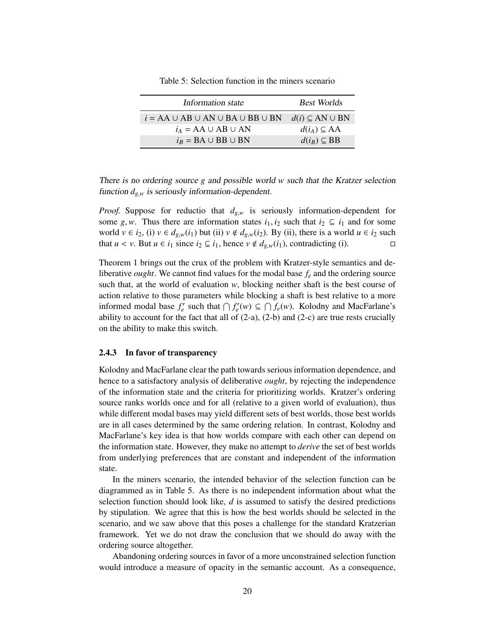| Table 5: Selection function in the miners scenario |  |  |  |  |  |
|----------------------------------------------------|--|--|--|--|--|
|----------------------------------------------------|--|--|--|--|--|

| Information state                                | <b>Best Worlds</b>          |
|--------------------------------------------------|-----------------------------|
| $i = AA \cup AB \cup AN \cup BA \cup BB \cup BN$ | $d(i) \subseteq AN \cup BN$ |
| $i_A = AA \cup AB \cup AN$                       | $d(i_A) \subseteq AA$       |
| $i_B = BA \cup BB \cup BN$                       | $d(i_R) \subseteq BB$       |

There is no ordering source *g* and possible world *w* such that the Kratzer selection function  $d_{g,w}$  is seriously information-dependent.

*Proof.* Suppose for reductio that  $d_{g,w}$  is seriously information-dependent for some *g*,*w*. Thus there are information states  $i_1$ ,  $i_2$  such that  $i_2 \subseteq i_1$  and for some world *v* ∈ *i*<sub>2</sub>, (i) *v* ∈ *d*<sub>*g*,*w*</sub>(*i*<sub>1</sub>) but (ii) *v* ∉ *d*<sub>*g*,*w*</sub>(*i*<sub>2</sub>). By (ii), there is a world *u* ∈ *i*<sub>2</sub> such that *u* < *v*. But *u* ∈ *i*<sub>1</sub> since *i*<sub>2</sub> ⊆ *i*<sub>1</sub>, hence *v* ∉ *d*<sub>*ow*</sub>(*i*<sub>1</sub>), that *u* < *v*. But *u* ∈ *i*<sub>1</sub> since *i*<sub>2</sub> ⊆ *i*<sub>1</sub>, hence *v* ∉  $d_{g,w}(i_1)$ , contradicting (i).

Theorem 1 brings out the crux of the problem with Kratzer-style semantics and deliberative *ought*. We cannot find values for the modal base *f<sup>e</sup>* and the ordering source such that, at the world of evaluation *w*, blocking neither shaft is the best course of action relative to those parameters while blocking a shaft is best relative to a more informed modal base  $f'_e$  such that  $\bigcap f'_e(w) \subseteq \bigcap f_e(w)$ . Kolodny and MacFarlane's ability to account for the fact that all of  $(2-a)$ ,  $(2-b)$  and  $(2-c)$  are true rests crucially on the ability to make this switch.

#### 2.4.3 In favor of transparency

Kolodny and MacFarlane clear the path towards serious information dependence, and hence to a satisfactory analysis of deliberative *ought*, by rejecting the independence of the information state and the criteria for prioritizing worlds. Kratzer's ordering source ranks worlds once and for all (relative to a given world of evaluation), thus while different modal bases may yield different sets of best worlds, those best worlds are in all cases determined by the same ordering relation. In contrast, Kolodny and MacFarlane's key idea is that how worlds compare with each other can depend on the information state. However, they make no attempt to *derive* the set of best worlds from underlying preferences that are constant and independent of the information state.

In the miners scenario, the intended behavior of the selection function can be diagrammed as in Table 5. As there is no independent information about what the selection function should look like, *d* is assumed to satisfy the desired predictions by stipulation. We agree that this is how the best worlds should be selected in the scenario, and we saw above that this poses a challenge for the standard Kratzerian framework. Yet we do not draw the conclusion that we should do away with the ordering source altogether.

Abandoning ordering sources in favor of a more unconstrained selection function would introduce a measure of opacity in the semantic account. As a consequence,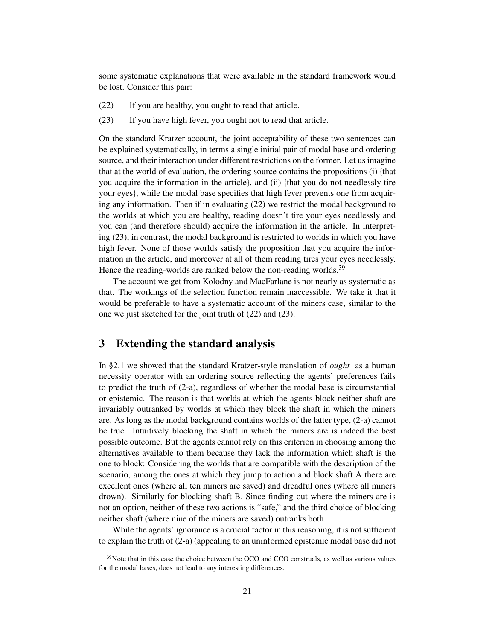some systematic explanations that were available in the standard framework would be lost. Consider this pair:

- (22) If you are healthy, you ought to read that article.
- (23) If you have high fever, you ought not to read that article.

On the standard Kratzer account, the joint acceptability of these two sentences can be explained systematically, in terms a single initial pair of modal base and ordering source, and their interaction under different restrictions on the former. Let us imagine that at the world of evaluation, the ordering source contains the propositions (i) {that you acquire the information in the article}, and (ii) {that you do not needlessly tire your eyes}; while the modal base specifies that high fever prevents one from acquiring any information. Then if in evaluating (22) we restrict the modal background to the worlds at which you are healthy, reading doesn't tire your eyes needlessly and you can (and therefore should) acquire the information in the article. In interpreting (23), in contrast, the modal background is restricted to worlds in which you have high fever. None of those worlds satisfy the proposition that you acquire the information in the article, and moreover at all of them reading tires your eyes needlessly. Hence the reading-worlds are ranked below the non-reading worlds.<sup>39</sup>

The account we get from Kolodny and MacFarlane is not nearly as systematic as that. The workings of the selection function remain inaccessible. We take it that it would be preferable to have a systematic account of the miners case, similar to the one we just sketched for the joint truth of (22) and (23).

# 3 Extending the standard analysis

In §2.1 we showed that the standard Kratzer-style translation of *ought* as a human necessity operator with an ordering source reflecting the agents' preferences fails to predict the truth of (2-a), regardless of whether the modal base is circumstantial or epistemic. The reason is that worlds at which the agents block neither shaft are invariably outranked by worlds at which they block the shaft in which the miners are. As long as the modal background contains worlds of the latter type, (2-a) cannot be true. Intuitively blocking the shaft in which the miners are is indeed the best possible outcome. But the agents cannot rely on this criterion in choosing among the alternatives available to them because they lack the information which shaft is the one to block: Considering the worlds that are compatible with the description of the scenario, among the ones at which they jump to action and block shaft A there are excellent ones (where all ten miners are saved) and dreadful ones (where all miners drown). Similarly for blocking shaft B. Since finding out where the miners are is not an option, neither of these two actions is "safe," and the third choice of blocking neither shaft (where nine of the miners are saved) outranks both.

While the agents' ignorance is a crucial factor in this reasoning, it is not sufficient to explain the truth of (2-a) (appealing to an uninformed epistemic modal base did not

<sup>&</sup>lt;sup>39</sup>Note that in this case the choice between the OCO and CCO construals, as well as various values for the modal bases, does not lead to any interesting differences.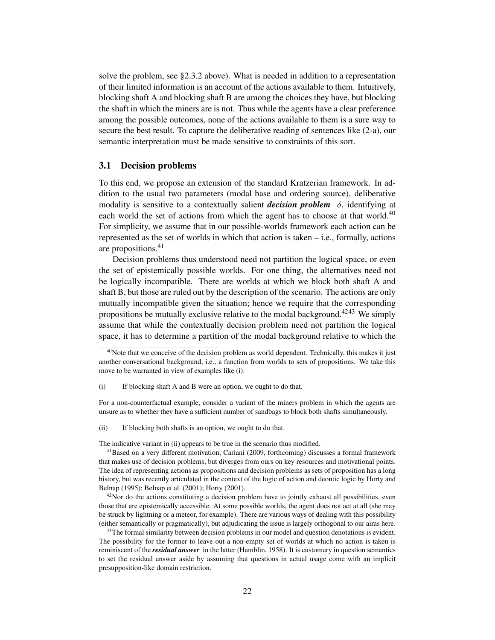solve the problem, see §2.3.2 above). What is needed in addition to a representation of their limited information is an account of the actions available to them. Intuitively, blocking shaft A and blocking shaft B are among the choices they have, but blocking the shaft in which the miners are is not. Thus while the agents have a clear preference among the possible outcomes, none of the actions available to them is a sure way to secure the best result. To capture the deliberative reading of sentences like (2-a), our semantic interpretation must be made sensitive to constraints of this sort.

## 3.1 Decision problems

To this end, we propose an extension of the standard Kratzerian framework. In addition to the usual two parameters (modal base and ordering source), deliberative modality is sensitive to a contextually salient *decision problem* δ, identifying at each world the set of actions from which the agent has to choose at that world.<sup>40</sup> For simplicity, we assume that in our possible-worlds framework each action can be represented as the set of worlds in which that action is taken  $-$  i.e., formally, actions are propositions.<sup>41</sup>

Decision problems thus understood need not partition the logical space, or even the set of epistemically possible worlds. For one thing, the alternatives need not be logically incompatible. There are worlds at which we block both shaft A and shaft B, but those are ruled out by the description of the scenario. The actions are only mutually incompatible given the situation; hence we require that the corresponding propositions be mutually exclusive relative to the modal background.<sup>4243</sup> We simply assume that while the contextually decision problem need not partition the logical space, it has to determine a partition of the modal background relative to which the

(ii) If blocking both shafts is an option, we ought to do that.

The indicative variant in (ii) appears to be true in the scenario thus modified.

 $40$ Note that we conceive of the decision problem as world dependent. Technically, this makes it just another conversational background, i.e., a function from worlds to sets of propositions. We take this move to be warranted in view of examples like (i):

<sup>(</sup>i) If blocking shaft A and B were an option, we ought to do that.

For a non-counterfactual example, consider a variant of the miners problem in which the agents are unsure as to whether they have a sufficient number of sandbags to block both shafts simultaneously.

<sup>&</sup>lt;sup>41</sup>Based on a very different motivation, Cariani (2009, forthcoming) discusses a formal framework that makes use of decision problems, but diverges from ours on key resources and motivational points. The idea of representing actions as propositions and decision problems as sets of proposition has a long history, but was recently articulated in the context of the logic of action and deontic logic by Horty and Belnap (1995); Belnap et al. (2001); Horty (2001).

 $42$ Nor do the actions constituting a decision problem have to jointly exhaust all possibilities, even those that are epistemically accessible. At some possible worlds, the agent does not act at all (she may be struck by lightning or a meteor, for example). There are various ways of dealing with this possibility (either semantically or pragmatically), but adjudicating the issue is largely orthogonal to our aims here.

<sup>&</sup>lt;sup>43</sup>The formal similarity between decision problems in our model and question denotations is evident. The possibility for the former to leave out a non-empty set of worlds at which no action is taken is reminiscent of the *residual answer* in the latter (Hamblin, 1958). It is customary in question semantics to set the residual answer aside by assuming that questions in actual usage come with an implicit presupposition-like domain restriction.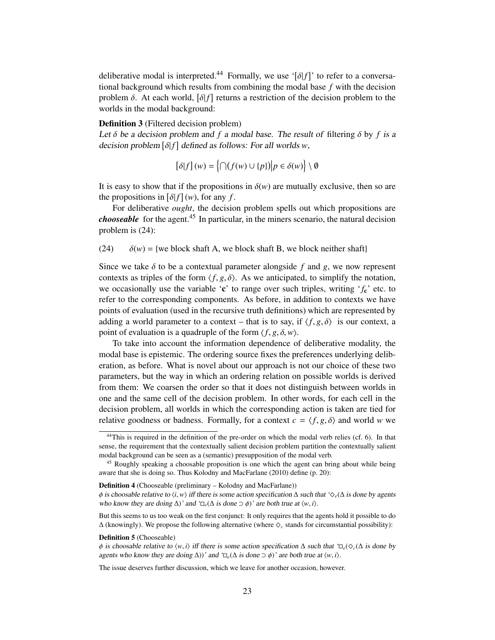deliberative modal is interpreted.<sup>44</sup> Formally, we use ' $\delta[f]$ ' to refer to a conversa-<br>tional background which results from combining the modal hase f with the decision tional background which results from combining the modal base *f* with the decision problem  $\delta$ . At each world,  $[\delta|f]$  returns a restriction of the decision problem to the worlds in the modal background: worlds in the modal background:

Definition 3 (Filtered decision problem)

Let  $\delta$  be a decision problem and f a modal base. The result of filtering  $\delta$  by f is a decision problem  $[\delta|f]$  defined as follows: For all worlds *w*,

$$
[\delta[f](w) = \left\{ \bigcap (f(w) \cup \{p\}) \middle| p \in \delta(w) \right\} \setminus \emptyset
$$

It is easy to show that if the propositions in  $\delta(w)$  are mutually exclusive, then so are the propositions in  $[\delta|f](w)$ , for any *f*.<br>For deliberative quality the decision

For deliberative *ought*, the decision problem spells out which propositions are *chooseable* for the agent.<sup>45</sup> In particular, in the miners scenario, the natural decision problem is (24):

(24)  $\delta(w) = \{$  we block shaft A, we block shaft B, we block neither shaft $\}$ 

Since we take  $\delta$  to be a contextual parameter alongside  $f$  and  $g$ , we now represent contexts as triples of the form  $\langle f, g, \delta \rangle$ . As we anticipated, to simplify the notation, we occasionally use the variable 'c' to range over such triples, writing '*f*c' etc. to refer to the corresponding components. As before, in addition to contexts we have points of evaluation (used in the recursive truth definitions) which are represented by adding a world parameter to a context – that is to say, if  $\langle f, g, \delta \rangle$  is our context, a point of evaluation is a quadruple of the form  $\langle f, g, \delta, w \rangle$ .

To take into account the information dependence of deliberative modality, the modal base is epistemic. The ordering source fixes the preferences underlying deliberation, as before. What is novel about our approach is not our choice of these two parameters, but the way in which an ordering relation on possible worlds is derived from them: We coarsen the order so that it does not distinguish between worlds in one and the same cell of the decision problem. In other words, for each cell in the decision problem, all worlds in which the corresponding action is taken are tied for relative goodness or badness. Formally, for a context  $c = \langle f, g, \delta \rangle$  and world *w* we

Definition 4 (Chooseable (preliminary – Kolodny and MacFarlane))

Definition 5 (Chooseable)

<sup>&</sup>lt;sup>44</sup>This is required in the definition of the pre-order on which the modal verb relies (cf. 6). In that sense, the requirement that the contextually salient decision problem partition the contextually salient modal background can be seen as a (semantic) presupposition of the modal verb.

<sup>&</sup>lt;sup>45</sup> Roughly speaking a choosable proposition is one which the agent can bring about while being aware that she is doing so. Thus Kolodny and MacFarlane (2010) define (p. 20):

 $\phi$  is choosable relative to  $\langle i, w \rangle$  iff there is some action specification  $\Delta$  such that ' $\diamondsuit_e(\Delta$  is done by agents who know they are doing  $\Delta$ )' and ' $\Box_e(\Delta$  is done  $\supset \phi$ )' are both true at  $\langle w, i \rangle$ .

But this seems to us too weak on the first conjunct: It only requires that the agents hold it possible to do ∆ (knowingly). We propose the following alternative (where ^*<sup>c</sup>* stands for circumstantial possibility):

φ is choosable relative to <sup>h</sup>*w*, *<sup>i</sup>*<sup>i</sup> <sup>i</sup>ff there is some action specification <sup>∆</sup> such that '*e*(^*c*(<sup>∆</sup> is done by agents who know they are doing  $\Delta$ ))' and ' $\Box_e(\Delta$  is done  $\supset \phi$ )' are both true at  $\langle w, i \rangle$ .

The issue deserves further discussion, which we leave for another occasion, however.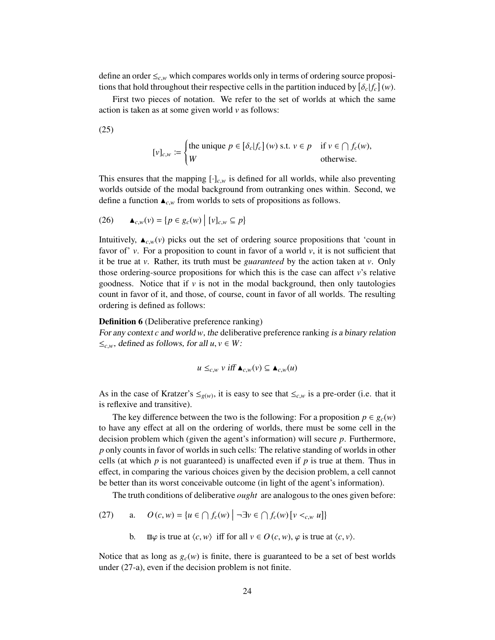define an order <sup>≤</sup>*c*,*<sup>w</sup>* which compares worlds only in terms of ordering source propositions that hold throughout their respective cells in the partition induced by  $\left[\delta_c|f_c\right](w)$ .

First two pieces of notation. We refer to the set of worlds at which the same action is taken as at some given world *v* as follows:

(25)

$$
[v]_{c,w} := \begin{cases} \text{the unique } p \in [\delta_c | f_c] (w) \text{ s.t. } v \in p & \text{if } v \in \bigcap f_c(w), \\ W & \text{otherwise.} \end{cases}
$$

This ensures that the mapping  $[\cdot]_{c,w}$  is defined for all worlds, while also preventing worlds outside of the modal background from outranking ones within. Second, we define a function  $\triangle_{c,w}$  from worlds to sets of propositions as follows.

(26) 
$$
\blacktriangle_{c,w}(v) = \{p \in g_c(w) \mid [v]_{c,w} \subseteq p\}
$$

Intuitively,  $\triangle_{c,w}(v)$  picks out the set of ordering source propositions that 'count in favor of' *v*. For a proposition to count in favor of a world *v*, it is not sufficient that it be true at *v*. Rather, its truth must be *guaranteed* by the action taken at *v*. Only those ordering-source propositions for which this is the case can affect *v*'s relative goodness. Notice that if  $\nu$  is not in the modal background, then only tautologies count in favor of it, and those, of course, count in favor of all worlds. The resulting ordering is defined as follows:

Definition 6 (Deliberative preference ranking)

For any context *c* and world *w*, the deliberative preference ranking is a binary relation ≤<sub>*c*,*w*</sub>, defined as follows, for all *u*, *v* ∈ *W*:

$$
u\leq_{c,w} v \text{ iff } \blacktriangle_{c,w}(v)\subseteq \blacktriangle_{c,w}(u)
$$

As in the case of Kratzer's  $\leq_{g(w)}$ , it is easy to see that  $\leq_{c,w}$  is a pre-order (i.e. that it is reflexive and transitive).

The key difference between the two is the following: For a proposition  $p \in g_c(w)$ to have any effect at all on the ordering of worlds, there must be some cell in the decision problem which (given the agent's information) will secure *p*. Furthermore, *p* only counts in favor of worlds in such cells: The relative standing of worlds in other cells (at which  $p$  is not guaranteed) is unaffected even if  $p$  is true at them. Thus in effect, in comparing the various choices given by the decision problem, a cell cannot be better than its worst conceivable outcome (in light of the agent's information).

The truth conditions of deliberative *ought* are analogous to the ones given before:

- (27) a.  $O(c, w) = {u \in \bigcap f_c(w) \mid \neg \exists v \in \bigcap f_c(w) \mid v <_{c,w} u}$ 
	- b.  $\Box \varphi$  is true at  $\langle c, w \rangle$  iff for all  $v \in O(c, w)$ ,  $\varphi$  is true at  $\langle c, v \rangle$ .

Notice that as long as  $g_c(w)$  is finite, there is guaranteed to be a set of best worlds under (27-a), even if the decision problem is not finite.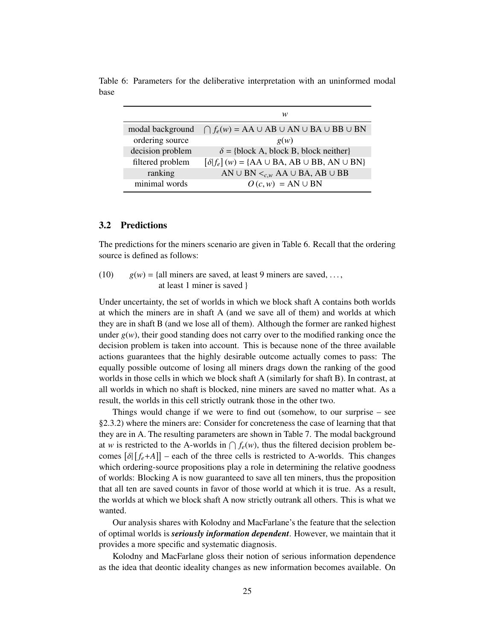|                  | w                                                             |
|------------------|---------------------------------------------------------------|
| modal background | $\bigcap f_e(w) = AA \cup AB \cup AN \cup BA \cup BB \cup BN$ |
| ordering source  | g(w)                                                          |
| decision problem | $\delta$ = {block A, block B, block neither}                  |
| filtered problem | $[\delta]f_e](w) = \{AA \cup BA, AB \cup BB, AN \cup BN\}$    |
| ranking          | AN $\cup$ BN $\lt_{c,w}$ AA $\cup$ BA, AB $\cup$ BB           |
| minimal words    | $O(c, w) = AN \cup BN$                                        |

Table 6: Parameters for the deliberative interpretation with an uninformed modal base

### 3.2 Predictions

The predictions for the miners scenario are given in Table 6. Recall that the ordering source is defined as follows:

(10)  $g(w) = \{all \text{ minors are saved, at least 9 miners are saved, ...,} \}$ at least 1 miner is saved }

Under uncertainty, the set of worlds in which we block shaft A contains both worlds at which the miners are in shaft A (and we save all of them) and worlds at which they are in shaft B (and we lose all of them). Although the former are ranked highest under  $g(w)$ , their good standing does not carry over to the modified ranking once the decision problem is taken into account. This is because none of the three available actions guarantees that the highly desirable outcome actually comes to pass: The equally possible outcome of losing all miners drags down the ranking of the good worlds in those cells in which we block shaft A (similarly for shaft B). In contrast, at all worlds in which no shaft is blocked, nine miners are saved no matter what. As a result, the worlds in this cell strictly outrank those in the other two.

Things would change if we were to find out (somehow, to our surprise – see §2.3.2) where the miners are: Consider for concreteness the case of learning that that they are in A. The resulting parameters are shown in Table 7. The modal background at *w* is restricted to the A-worlds in  $\bigcap f_e(w)$ , thus the filtered decision problem becomes  $[\delta][f_e+A]$  – each of the three cells is restricted to A-worlds. This changes<br>which ordering-course propositions play a role in determining the relative goodness which ordering-source propositions play a role in determining the relative goodness of worlds: Blocking A is now guaranteed to save all ten miners, thus the proposition that all ten are saved counts in favor of those world at which it is true. As a result, the worlds at which we block shaft A now strictly outrank all others. This is what we wanted.

Our analysis shares with Kolodny and MacFarlane's the feature that the selection of optimal worlds is *seriously information dependent*. However, we maintain that it provides a more specific and systematic diagnosis.

Kolodny and MacFarlane gloss their notion of serious information dependence as the idea that deontic ideality changes as new information becomes available. On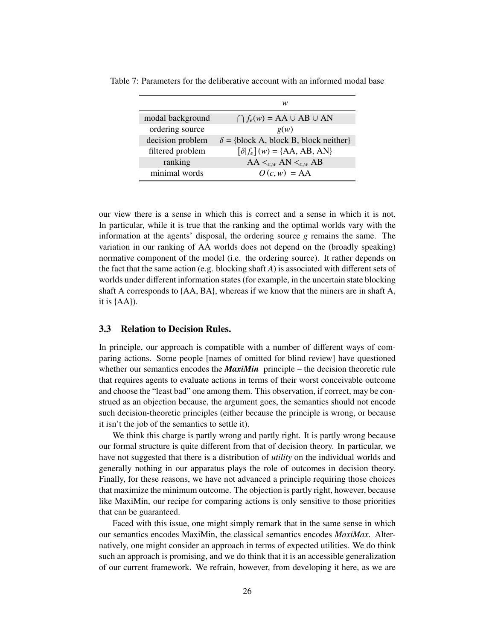|                  | w                                            |
|------------------|----------------------------------------------|
| modal background | $\bigcap f_e(w) = AA \cup AB \cup AN$        |
| ordering source  | g(w)                                         |
| decision problem | $\delta$ = {block A, block B, block neither} |
| filtered problem | $\delta[f_e](w) = \{AA, AB, AN\}$            |
| ranking          | $AA \leq_{c,w} AN \leq_{c,w} AB$             |
| minimal words    | $O(c, w) = AA$                               |

Table 7: Parameters for the deliberative account with an informed modal base

our view there is a sense in which this is correct and a sense in which it is not. In particular, while it is true that the ranking and the optimal worlds vary with the information at the agents' disposal, the ordering source *g* remains the same. The variation in our ranking of AA worlds does not depend on the (broadly speaking) normative component of the model (i.e. the ordering source). It rather depends on the fact that the same action (e.g. blocking shaft *A*) is associated with different sets of worlds under different information states (for example, in the uncertain state blocking shaft A corresponds to  ${AA, BA}$ , whereas if we know that the miners are in shaft A, it is  $\{AA\}$ ).

## 3.3 Relation to Decision Rules.

In principle, our approach is compatible with a number of different ways of comparing actions. Some people [names of omitted for blind review] have questioned whether our semantics encodes the *MaxiMin* principle – the decision theoretic rule that requires agents to evaluate actions in terms of their worst conceivable outcome and choose the "least bad" one among them. This observation, if correct, may be construed as an objection because, the argument goes, the semantics should not encode such decision-theoretic principles (either because the principle is wrong, or because it isn't the job of the semantics to settle it).

We think this charge is partly wrong and partly right. It is partly wrong because our formal structure is quite different from that of decision theory. In particular, we have not suggested that there is a distribution of *utility* on the individual worlds and generally nothing in our apparatus plays the role of outcomes in decision theory. Finally, for these reasons, we have not advanced a principle requiring those choices that maximize the minimum outcome. The objection is partly right, however, because like MaxiMin, our recipe for comparing actions is only sensitive to those priorities that can be guaranteed.

Faced with this issue, one might simply remark that in the same sense in which our semantics encodes MaxiMin, the classical semantics encodes *MaxiMax*. Alternatively, one might consider an approach in terms of expected utilities. We do think such an approach is promising, and we do think that it is an accessible generalization of our current framework. We refrain, however, from developing it here, as we are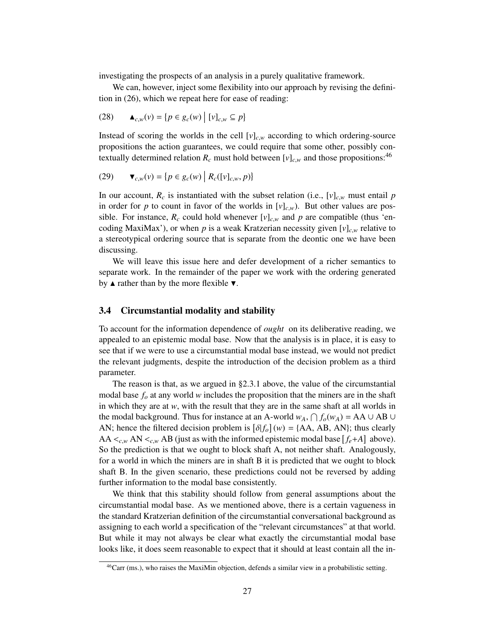investigating the prospects of an analysis in a purely qualitative framework.

We can, however, inject some flexibility into our approach by revising the definition in (26), which we repeat here for ease of reading:

(28) 
$$
\blacktriangle_{c,w}(v) = \{p \in g_c(w) \mid [v]_{c,w} \subseteq p\}
$$

Instead of scoring the worlds in the cell  $[v]_{c,w}$  according to which ordering-source propositions the action guarantees, we could require that some other, possibly contextually determined relation  $R_c$  must hold between  $[v]_{c,w}$  and those propositions:<sup>46</sup>

(29) 
$$
\mathbf{v}_{c,w}(v) = \{p \in g_c(w) \mid R_c([\nu]_{c,w}, p)\}
$$

In our account,  $R_c$  is instantiated with the subset relation (i.e.,  $[v]_{c,w}$  must entail *p* in order for *p* to count in favor of the worlds in  $[v]_{c,w}$ ). But other values are possible. For instance,  $R_c$  could hold whenever  $[v]_{c,w}$  and p are compatible (thus 'encoding MaxiMax'), or when p is a weak Kratzerian necessity given  $[v]_{c,w}$  relative to a stereotypical ordering source that is separate from the deontic one we have been discussing.

We will leave this issue here and defer development of a richer semantics to separate work. In the remainder of the paper we work with the ordering generated by  $\blacktriangle$  rather than by the more flexible  $\P$ .

### 3.4 Circumstantial modality and stability

To account for the information dependence of *ought* on its deliberative reading, we appealed to an epistemic modal base. Now that the analysis is in place, it is easy to see that if we were to use a circumstantial modal base instead, we would not predict the relevant judgments, despite the introduction of the decision problem as a third parameter.

The reason is that, as we argued in §2.3.1 above, the value of the circumstantial modal base *f<sup>o</sup>* at any world *w* includes the proposition that the miners are in the shaft in which they are at *w*, with the result that they are in the same shaft at all worlds in the modal background. Thus for instance at an A-world  $w_A$ ,  $\bigcap f_o(w_A) = AA \cup AB \cup$ AN; hence the filtered decision problem is  $[\delta f_b](w) = \{AA, AB, AN\}$ ; thus clearly AA  $\lt_{c,w}$  AN  $\lt_{c,w}$  AB (just as with the informed epistemic modal base  $[f_e+A]$  above). So the prediction is that we ought to block shaft A, not neither shaft. Analogously, for a world in which the miners are in shaft B it is predicted that we ought to block shaft B. In the given scenario, these predictions could not be reversed by adding further information to the modal base consistently.

We think that this stability should follow from general assumptions about the circumstantial modal base. As we mentioned above, there is a certain vagueness in the standard Kratzerian definition of the circumstantial conversational background as assigning to each world a specification of the "relevant circumstances" at that world. But while it may not always be clear what exactly the circumstantial modal base looks like, it does seem reasonable to expect that it should at least contain all the in-

<sup>&</sup>lt;sup>46</sup>Carr (ms.), who raises the MaxiMin objection, defends a similar view in a probabilistic setting.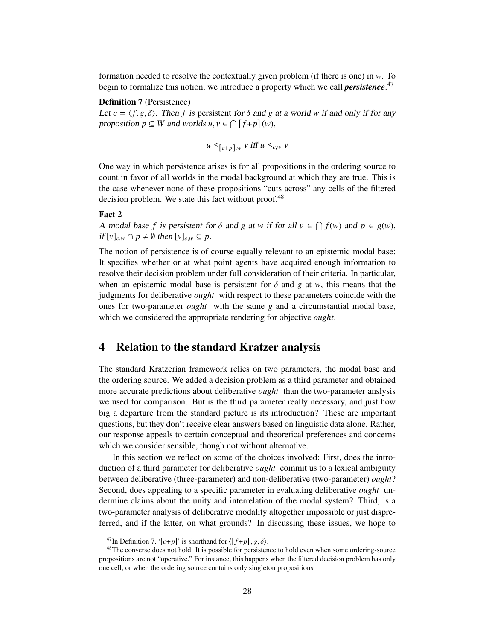formation needed to resolve the contextually given problem (if there is one) in *w*. To begin to formalize this notion, we introduce a property which we call *persistence*. 47

### Definition 7 (Persistence)

Let  $c = \langle f, g, \delta \rangle$ . Then f is persistent for  $\delta$  and g at a world w if and only if for any proposition  $p \subseteq W$  and worlds  $u, v \in \bigcap [f+p](w)$ ,

$$
u \leq_{[c+p],w} v \text{ iff } u \leq_{c,w} v
$$

One way in which persistence arises is for all propositions in the ordering source to count in favor of all worlds in the modal background at which they are true. This is the case whenever none of these propositions "cuts across" any cells of the filtered decision problem. We state this fact without proof.<sup>48</sup>

### Fact 2

A modal base *f* is persistent for  $\delta$  and  $g$  at  $w$  if for all  $v \in \bigcap f(w)$  and  $p \in g(w)$ , if  $[v]$ *if*  $[v]_{c,w} ∩ p ≠ ∅$  then  $[v]_{c,w} ⊆ p$ .

The notion of persistence is of course equally relevant to an epistemic modal base: It specifies whether or at what point agents have acquired enough information to resolve their decision problem under full consideration of their criteria. In particular, when an epistemic modal base is persistent for  $\delta$  and  $g$  at  $w$ , this means that the judgments for deliberative *ought* with respect to these parameters coincide with the ones for two-parameter *ought* with the same *g* and a circumstantial modal base, which we considered the appropriate rendering for objective *ought*.

# 4 Relation to the standard Kratzer analysis

The standard Kratzerian framework relies on two parameters, the modal base and the ordering source. We added a decision problem as a third parameter and obtained more accurate predictions about deliberative *ought* than the two-parameter anslysis we used for comparison. But is the third parameter really necessary, and just how big a departure from the standard picture is its introduction? These are important questions, but they don't receive clear answers based on linguistic data alone. Rather, our response appeals to certain conceptual and theoretical preferences and concerns which we consider sensible, though not without alternative.

In this section we reflect on some of the choices involved: First, does the introduction of a third parameter for deliberative *ought* commit us to a lexical ambiguity between deliberative (three-parameter) and non-deliberative (two-parameter) *ought*? Second, does appealing to a specific parameter in evaluating deliberative *ought* undermine claims about the unity and interrelation of the modal system? Third, is a two-parameter analysis of deliberative modality altogether impossible or just dispreferred, and if the latter, on what grounds? In discussing these issues, we hope to

<sup>&</sup>lt;sup>47</sup>In Definition 7, ' $[c+p]$ ' is shorthand for  $\langle [f+p], g, \delta \rangle$ .<br><sup>48</sup>The converse does not hold: It is possible for persister

<sup>&</sup>lt;sup>48</sup>The converse does not hold: It is possible for persistence to hold even when some ordering-source propositions are not "operative." For instance, this happens when the filtered decision problem has only one cell, or when the ordering source contains only singleton propositions.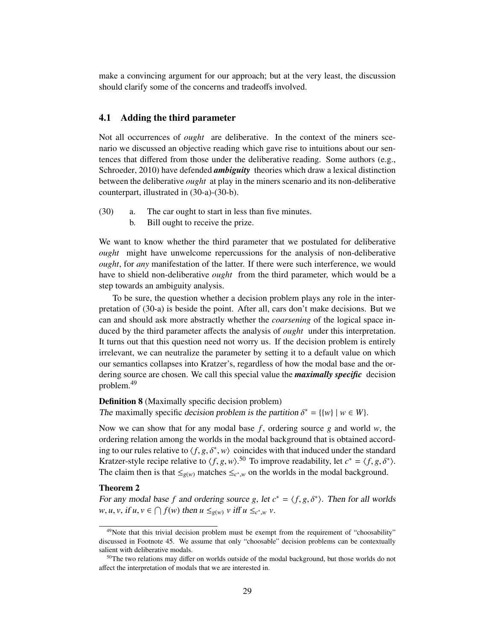make a convincing argument for our approach; but at the very least, the discussion should clarify some of the concerns and tradeoffs involved.

## 4.1 Adding the third parameter

Not all occurrences of *ought* are deliberative. In the context of the miners scenario we discussed an objective reading which gave rise to intuitions about our sentences that differed from those under the deliberative reading. Some authors (e.g., Schroeder, 2010) have defended *ambiguity* theories which draw a lexical distinction between the deliberative *ought* at play in the miners scenario and its non-deliberative counterpart, illustrated in (30-a)-(30-b).

- (30) a. The car ought to start in less than five minutes.
	- b. Bill ought to receive the prize.

We want to know whether the third parameter that we postulated for deliberative *ought* might have unwelcome repercussions for the analysis of non-deliberative *ought*, for *any* manifestation of the latter. If there were such interference, we would have to shield non-deliberative *ought* from the third parameter, which would be a step towards an ambiguity analysis.

To be sure, the question whether a decision problem plays any role in the interpretation of (30-a) is beside the point. After all, cars don't make decisions. But we can and should ask more abstractly whether the *coarsening* of the logical space induced by the third parameter affects the analysis of *ought* under this interpretation. It turns out that this question need not worry us. If the decision problem is entirely irrelevant, we can neutralize the parameter by setting it to a default value on which our semantics collapses into Kratzer's, regardless of how the modal base and the ordering source are chosen. We call this special value the *maximally specific* decision problem.<sup>49</sup>

Definition 8 (Maximally specific decision problem) The maximally specific decision problem is the partition  $\delta^* = \{ \{w\} \mid w \in W \}$ .

Now we can show that for any modal base  $f$ , ordering source  $g$  and world  $w$ , the ordering relation among the worlds in the modal background that is obtained according to our rules relative to  $\langle f, g, \delta^*, w \rangle$  coincides with that induced under the standard<br>Kratzer style recipe relative to  $\langle f, g, w \rangle$ <sup>50</sup> To improve readability, let  $c^* = \langle f, g, \delta^* \rangle$ Kratzer-style recipe relative to  $\langle f, g, w \rangle$ .<sup>50</sup> To improve readability, let  $c^* = \langle f, g, \delta^* \rangle$ .<br>The claim than is that  $\leq c$  is matches  $\leq c$  on the worlds in the model background. The claim then is that  $\leq_{g(w)}$  matches  $\leq_{c^*,w}$  on the worlds in the modal background.

### Theorem 2

For any modal base *f* and ordering source *g*, let  $c^* = \langle f, g, \delta^* \rangle$ . Then for all worlds<br>*w*, *u*, *y*, if *u*, *y*,  $\in$   $\bigcirc$  *f*(*w*) then *u*  $\le$   $\in$   $\searrow$  *y*, if *u*  $\le$   $\in$  *y*. *w*, *u*, *v*, if *u*, *v* ∈  $\bigcap$  *f*(*w*) then *u* ≤*g*(*w*) *v* iff *u* ≤*c*<sup>\*</sup>,*w v*.

<sup>&</sup>lt;sup>49</sup>Note that this trivial decision problem must be exempt from the requirement of "choosability" discussed in Footnote 45. We assume that only "choosable" decision problems can be contextually salient with deliberative modals.

<sup>&</sup>lt;sup>50</sup>The two relations may differ on worlds outside of the modal background, but those worlds do not affect the interpretation of modals that we are interested in.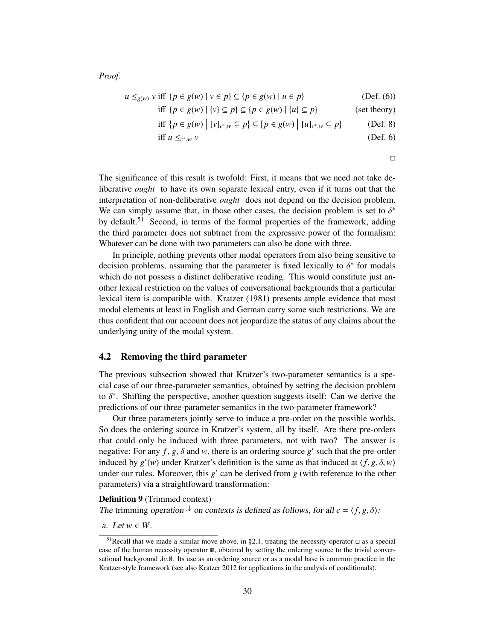*Proof.*

$$
u \le_{g(w)} v \text{ iff } \{p \in g(w) \mid v \in p\} \subseteq \{p \in g(w) \mid u \in p\} \tag{Def. (6)}
$$
  
iff 
$$
\{p \in g(w) \mid \{v\} \subseteq p\} \subseteq \{p \in g(w) \mid \{u\} \subseteq p\} \tag{set theory}
$$
  
iff 
$$
\{p \in g(w) \mid [v]_{c^*,w} \subseteq p\} \subseteq \{p \in g(w) \mid [u]_{c^*,w} \subseteq p\} \tag{Def. 8}
$$
  
iff 
$$
u \le_{c^*,w} v \tag{Def. 6}
$$

 $\Box$ 

The significance of this result is twofold: First, it means that we need not take deliberative *ought* to have its own separate lexical entry, even if it turns out that the interpretation of non-deliberative *ought* does not depend on the decision problem. We can simply assume that, in those other cases, the decision problem is set to  $\delta^*$ <br>by default <sup>51</sup>. Second, in terms of the formal properties of the framework, adding by default.<sup>51</sup> Second, in terms of the formal properties of the framework, adding the third parameter does not subtract from the expressive power of the formalism: Whatever can be done with two parameters can also be done with three.

In principle, nothing prevents other modal operators from also being sensitive to decision problems, assuming that the parameter is fixed lexically to  $\delta^*$  for modals<br>which do not possess a distinct deliberative reading. This would constitute just an which do not possess a distinct deliberative reading. This would constitute just another lexical restriction on the values of conversational backgrounds that a particular lexical item is compatible with. Kratzer (1981) presents ample evidence that most modal elements at least in English and German carry some such restrictions. We are thus confident that our account does not jeopardize the status of any claims about the underlying unity of the modal system.

## 4.2 Removing the third parameter

The previous subsection showed that Kratzer's two-parameter semantics is a special case of our three-parameter semantics, obtained by setting the decision problem to  $\delta^*$ . Shifting the perspective, another question suggests itself: Can we derive the predictions of our three perspects semantics in the two perspects framework? predictions of our three-parameter semantics in the two-parameter framework?

Our three parameters jointly serve to induce a pre-order on the possible worlds. So does the ordering source in Kratzer's system, all by itself. Are there pre-orders that could only be induced with three parameters, not with two? The answer is negative: For any *f*, *g*,  $\delta$  and *w*, there is an ordering source *g*' such that the pre-order<br>induced by  $g'(w)$  under Kratzer's definition is the same as that induced at  $(f, g, \delta, w)$ induced by  $g'(w)$  under Kratzer's definition is the same as that induced at  $\langle f, g, \delta, w \rangle$ <br>under our rules. Moreover, this *g'* can be derived from *g* (with reference to the other under our rules. Moreover, this  $g'$  can be derived from  $g$  (with reference to the other parameters) via a straightfoward transformation:

### Definition 9 (Trimmed context)

The trimming operation  $\cdot^{\downarrow}$  on contexts is defined as follows, for all  $c = \langle f, g, \delta \rangle$ :

a. Let  $w \in W$ .

<sup>&</sup>lt;sup>51</sup>Recall that we made a similar move above, in §2.1, treating the necessity operator  $\Box$  as a special case of the human necessity operator  $\mathbf{E}$ , obtained by setting the ordering source to the trivial conversational background  $\lambda v \phi$ . Its use as an ordering source or as a modal base is common practice in the Kratzer-style framework (see also Kratzer 2012 for applications in the analysis of conditionals).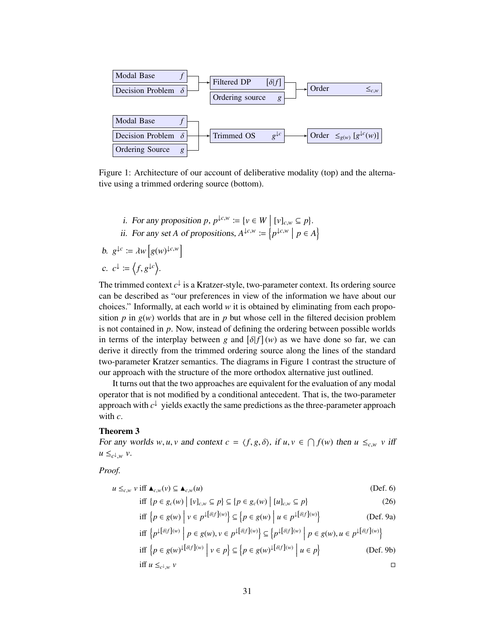

Figure 1: Architecture of our account of deliberative modality (top) and the alternative using a trimmed ordering source (bottom).

*i*. For any proposition  $p, p^{\downarrow c,w} := \{v \in W \mid [v]_{c,w} \subseteq p\}.$ ii. For any set *A* of propositions,  $A^{\downarrow c,w} := \{p^{\downarrow c,w} \mid p \in A\}$ *b*.  $g^{\downarrow c} \coloneqq \lambda w \left[ g(w)^{\downarrow c, w} \right]$  $c. \ \ c^{\downarrow} := \left\langle f, g^{\downarrow c} \right\rangle.$ 

The trimmed context  $c^{\downarrow}$  is a Kratzer-style, two-parameter context. Its ordering source can be described as "our preferences in view of the information we have about our choices." Informally, at each world *w* it is obtained by eliminating from each proposition  $p$  in  $g(w)$  worlds that are in  $p$  but whose cell in the filtered decision problem is not contained in *p*. Now, instead of defining the ordering between possible worlds in terms of the interplay between *g* and  $[\delta f](w)$  as we have done so far, we can<br>derive it directly from the trimmed ordering source along the lines of the standard derive it directly from the trimmed ordering source along the lines of the standard two-parameter Kratzer semantics. The diagrams in Figure 1 contrast the structure of our approach with the structure of the more orthodox alternative just outlined.

It turns out that the two approaches are equivalent for the evaluation of any modal operator that is not modified by a conditional antecedent. That is, the two-parameter approach with  $c^{\downarrow}$  yields exactly the same predictions as the three-parameter approach with *c*.

### Theorem 3

For any worlds *w*, *u*, *v* and context  $c = \langle f, g, \delta \rangle$ , if  $u, v \in \bigcap f(w)$  then  $u \leq_{c,w} v$  iff  $u \leq v$ .  $u \leq_{c^{\downarrow},w} v.$ 

*Proof.*

$$
u \le_{c,w} v \text{ iff } \blacktriangle_{c,w}(v) \subseteq \blacktriangle_{c,w}(u)
$$
\n(Def. 6)

\n
$$
\text{iff } \{p \in g_c(w) \mid [v]_{c,w} \subseteq p\} \subseteq \{p \in g_c(w) \mid [u]_{c,w} \subseteq p\}
$$
\n(26)

\n
$$
\text{iff } \{p \in g(w) \mid v \in p^{\downarrow[\delta|f](w)}\} \subseteq \{p \in g(w) \mid u \in p^{\downarrow[\delta|f](w)}\}
$$
\n(Def. 9a)

\n
$$
\text{iff } \{p^{\downarrow[\delta|f](w)} \mid p \in g(w), v \in p^{\downarrow[\delta|f](w)}\} \subseteq \{p^{\downarrow[\delta|f](w)} \mid p \in g(w), u \in p^{\downarrow[\delta|f](w)}\}
$$
\n(Def. 9b)

\n
$$
\text{iff } \{p \in g(w)^{\downarrow[\delta|f](w)} \mid v \in p\} \subseteq \{p \in g(w)^{\downarrow[\delta|f](w)} \mid u \in p\}
$$
\n(Def. 9b)

\n
$$
\text{iff } u \le_{c^{\downarrow},w} v
$$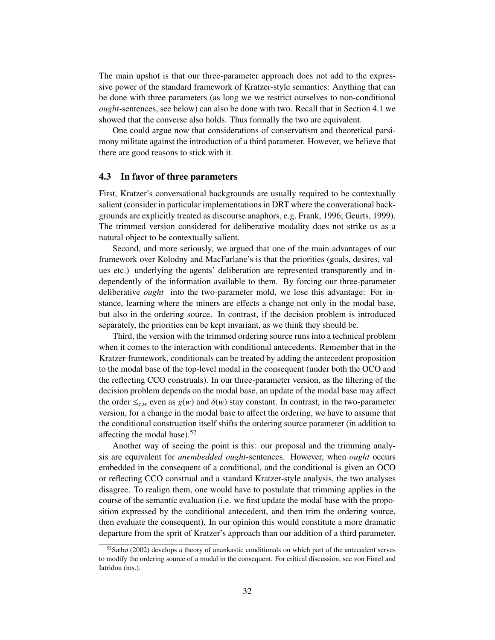The main upshot is that our three-parameter approach does not add to the expressive power of the standard framework of Kratzer-style semantics: Anything that can be done with three parameters (as long we we restrict ourselves to non-conditional *ought*-sentences, see below) can also be done with two. Recall that in Section 4.1 we showed that the converse also holds. Thus formally the two are equivalent.

One could argue now that considerations of conservatism and theoretical parsimony militate against the introduction of a third parameter. However, we believe that there are good reasons to stick with it.

## 4.3 In favor of three parameters

First, Kratzer's conversational backgrounds are usually required to be contextually salient (consider in particular implementations in DRT where the converational backgrounds are explicitly treated as discourse anaphors, e.g. Frank, 1996; Geurts, 1999). The trimmed version considered for deliberative modality does not strike us as a natural object to be contextually salient.

Second, and more seriously, we argued that one of the main advantages of our framework over Kolodny and MacFarlane's is that the priorities (goals, desires, values etc.) underlying the agents' deliberation are represented transparently and independently of the information available to them. By forcing our three-parameter deliberative *ought* into the two-parameter mold, we lose this advantage: For instance, learning where the miners are effects a change not only in the modal base, but also in the ordering source. In contrast, if the decision problem is introduced separately, the priorities can be kept invariant, as we think they should be.

Third, the version with the trimmed ordering source runs into a technical problem when it comes to the interaction with conditional antecedents. Remember that in the Kratzer-framework, conditionals can be treated by adding the antecedent proposition to the modal base of the top-level modal in the consequent (under both the OCO and the reflecting CCO construals). In our three-parameter version, as the filtering of the decision problem depends on the modal base, an update of the modal base may affect the order  $\leq_{c,w}$  even as  $g(w)$  and  $\delta(w)$  stay constant. In contrast, in the two-parameter version, for a change in the modal base to affect the ordering, we have to assume that the conditional construction itself shifts the ordering source parameter (in addition to affecting the modal base). $52$ 

Another way of seeing the point is this: our proposal and the trimming analysis are equivalent for *unembedded ought*-sentences. However, when *ought* occurs embedded in the consequent of a conditional, and the conditional is given an OCO or reflecting CCO construal and a standard Kratzer-style analysis, the two analyses disagree. To realign them, one would have to postulate that trimming applies in the course of the semantic evaluation (i.e. we first update the modal base with the proposition expressed by the conditional antecedent, and then trim the ordering source, then evaluate the consequent). In our opinion this would constitute a more dramatic departure from the sprit of Kratzer's approach than our addition of a third parameter.

 $52$ Sæbø (2002) develops a theory of anankastic conditionals on which part of the antecedent serves to modify the ordering source of a modal in the consequent. For critical discussion, see von Fintel and Iatridou (ms.).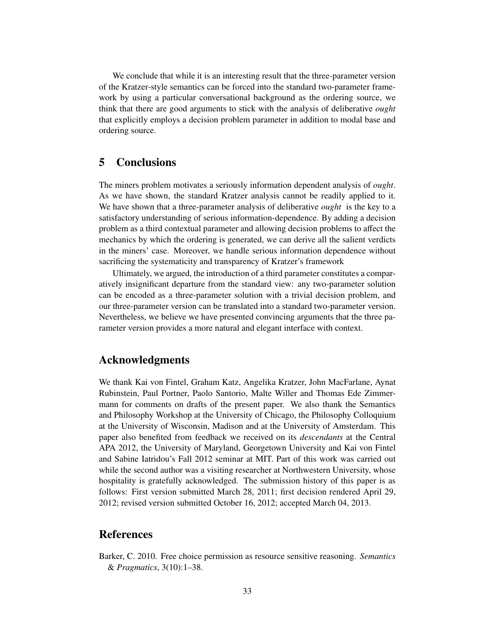We conclude that while it is an interesting result that the three-parameter version of the Kratzer-style semantics can be forced into the standard two-parameter framework by using a particular conversational background as the ordering source, we think that there are good arguments to stick with the analysis of deliberative *ought* that explicitly employs a decision problem parameter in addition to modal base and ordering source.

# 5 Conclusions

The miners problem motivates a seriously information dependent analysis of *ought*. As we have shown, the standard Kratzer analysis cannot be readily applied to it. We have shown that a three-parameter analysis of deliberative *ought* is the key to a satisfactory understanding of serious information-dependence. By adding a decision problem as a third contextual parameter and allowing decision problems to affect the mechanics by which the ordering is generated, we can derive all the salient verdicts in the miners' case. Moreover, we handle serious information dependence without sacrificing the systematicity and transparency of Kratzer's framework

Ultimately, we argued, the introduction of a third parameter constitutes a comparatively insignificant departure from the standard view: any two-parameter solution can be encoded as a three-parameter solution with a trivial decision problem, and our three-parameter version can be translated into a standard two-parameter version. Nevertheless, we believe we have presented convincing arguments that the three parameter version provides a more natural and elegant interface with context.

## Acknowledgments

We thank Kai von Fintel, Graham Katz, Angelika Kratzer, John MacFarlane, Aynat Rubinstein, Paul Portner, Paolo Santorio, Malte Willer and Thomas Ede Zimmermann for comments on drafts of the present paper. We also thank the Semantics and Philosophy Workshop at the University of Chicago, the Philosophy Colloquium at the University of Wisconsin, Madison and at the University of Amsterdam. This paper also benefited from feedback we received on its *descendants* at the Central APA 2012, the University of Maryland, Georgetown University and Kai von Fintel and Sabine Iatridou's Fall 2012 seminar at MIT. Part of this work was carried out while the second author was a visiting researcher at Northwestern University, whose hospitality is gratefully acknowledged. The submission history of this paper is as follows: First version submitted March 28, 2011; first decision rendered April 29, 2012; revised version submitted October 16, 2012; accepted March 04, 2013.

# **References**

Barker, C. 2010. Free choice permission as resource sensitive reasoning. *Semantics* & *Pragmatics*, 3(10):1–38.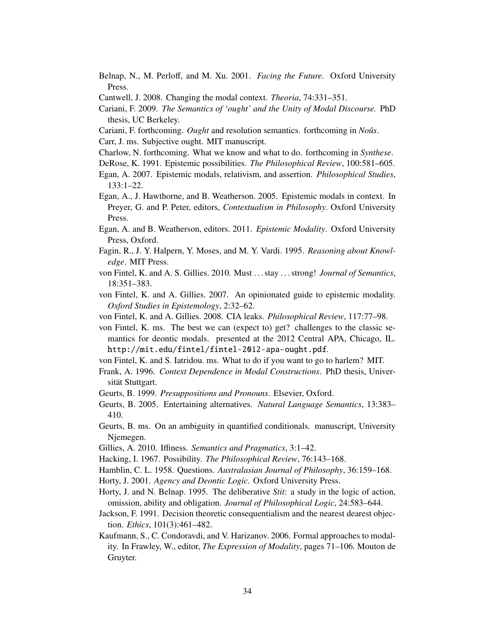Belnap, N., M. Perloff, and M. Xu. 2001. *Facing the Future*. Oxford University Press.

Cantwell, J. 2008. Changing the modal context. *Theoria*, 74:331–351.

Cariani, F. 2009. *The Semantics of 'ought' and the Unity of Modal Discourse.* PhD thesis, UC Berkeley.

Cariani, F. forthcoming. *Ought* and resolution semantics. forthcoming in *Noûs*.

Carr, J. ms. Subjective ought. MIT manuscript.

Charlow, N. forthcoming. What we know and what to do. forthcoming in *Synthese*.

DeRose, K. 1991. Epistemic possibilities. *The Philosophical Review*, 100:581–605.

- Egan, A. 2007. Epistemic modals, relativism, and assertion. *Philosophical Studies*, 133:1–22.
- Egan, A., J. Hawthorne, and B. Weatherson. 2005. Epistemic modals in context. In Preyer, G. and P. Peter, editors, *Contextualism in Philosophy*. Oxford University Press.
- Egan, A. and B. Weatherson, editors. 2011. *Epistemic Modality*. Oxford University Press, Oxford.
- Fagin, R., J. Y. Halpern, Y. Moses, and M. Y. Vardi. 1995. *Reasoning about Knowledge*. MIT Press.
- von Fintel, K. and A. S. Gillies. 2010. Must . . . stay . . . strong! *Journal of Semantics*, 18:351–383.
- von Fintel, K. and A. Gillies. 2007. An opinionated guide to epistemic modality. *Oxford Studies in Epistemology*, 2:32–62.
- von Fintel, K. and A. Gillies. 2008. CIA leaks. *Philosophical Review*, 117:77–98.

von Fintel, K. ms. The best we can (expect to) get? challenges to the classic semantics for deontic modals. presented at the 2012 Central APA, Chicago, IL. http://mit.edu/fintel/fintel-2012-apa-ought.pdf.

von Fintel, K. and S. Iatridou. ms. What to do if you want to go to harlem? MIT.

- Frank, A. 1996. *Context Dependence in Modal Constructions*. PhD thesis, Universität Stuttgart.
- Geurts, B. 1999. *Presuppositions and Pronouns*. Elsevier, Oxford.
- Geurts, B. 2005. Entertaining alternatives. *Natural Language Semantics*, 13:383– 410.
- Geurts, B. ms. On an ambiguity in quantified conditionals. manuscript, University Njemegen.
- Gillies, A. 2010. Iffiness. *Semantics and Pragmatics*, 3:1–42.
- Hacking, I. 1967. Possibility. *The Philosophical Review*, 76:143–168.
- Hamblin, C. L. 1958. Questions. *Australasian Journal of Philosophy*, 36:159–168.
- Horty, J. 2001. *Agency and Deontic Logic*. Oxford University Press.
- Horty, J. and N. Belnap. 1995. The deliberative *Stit*: a study in the logic of action, omission, ability and obligation. *Journal of Philosophical Logic*, 24:583–644.
- Jackson, F. 1991. Decision theoretic consequentialism and the nearest dearest objection. *Ethics*, 101(3):461–482.
- Kaufmann, S., C. Condoravdi, and V. Harizanov. 2006. Formal approaches to modality. In Frawley, W., editor, *The Expression of Modality*, pages 71–106. Mouton de Gruyter.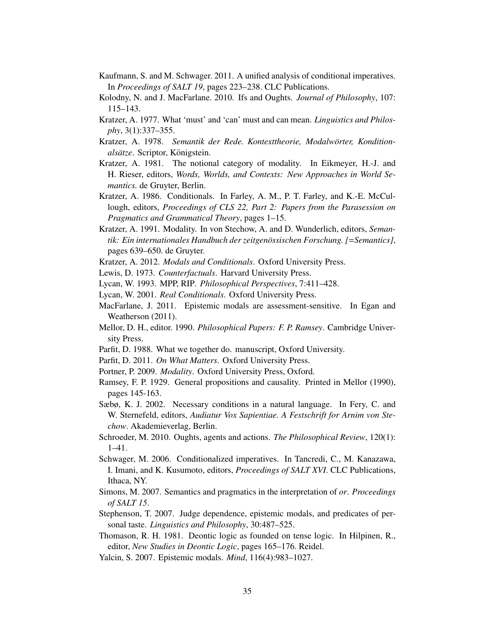- Kaufmann, S. and M. Schwager. 2011. A unified analysis of conditional imperatives. In *Proceedings of SALT 19*, pages 223–238. CLC Publications.
- Kolodny, N. and J. MacFarlane. 2010. Ifs and Oughts. *Journal of Philosophy*, 107: 115–143.
- Kratzer, A. 1977. What 'must' and 'can' must and can mean. *Linguistics and Philosphy*, 3(1):337–355.
- Kratzer, A. 1978. Semantik der Rede. Kontexttheorie, Modalwörter, Kondition*alsätze*. Scriptor, Königstein.
- Kratzer, A. 1981. The notional category of modality. In Eikmeyer, H.-J. and H. Rieser, editors, *Words, Worlds, and Contexts: New Approaches in World Semantics.* de Gruyter, Berlin.
- Kratzer, A. 1986. Conditionals. In Farley, A. M., P. T. Farley, and K.-E. McCullough, editors, *Proceedings of CLS 22, Part 2: Papers from the Parasession on Pragmatics and Grammatical Theory*, pages 1–15.
- Kratzer, A. 1991. Modality. In von Stechow, A. and D. Wunderlich, editors, *Semantik: Ein internationales Handbuch der zeitgen¨ossischen Forschung. [*=*Semantics]*, pages 639–650. de Gruyter.
- Kratzer, A. 2012. *Modals and Conditionals*. Oxford University Press.
- Lewis, D. 1973. *Counterfactuals*. Harvard University Press.
- Lycan, W. 1993. MPP, RIP. *Philosophical Perspectives*, 7:411–428.
- Lycan, W. 2001. *Real Conditionals*. Oxford University Press.
- MacFarlane, J. 2011. Epistemic modals are assessment-sensitive. In Egan and Weatherson (2011).
- Mellor, D. H., editor. 1990. *Philosophical Papers: F. P. Ramsey*. Cambridge University Press.
- Parfit, D. 1988. What we together do. manuscript, Oxford University.
- Parfit, D. 2011. *On What Matters*. Oxford University Press.
- Portner, P. 2009. *Modality*. Oxford University Press, Oxford.
- Ramsey, F. P. 1929. General propositions and causality. Printed in Mellor (1990), pages 145-163.
- Sæbø, K. J. 2002. Necessary conditions in a natural language. In Fery, C. and W. Sternefeld, editors, *Audiatur Vox Sapientiae. A Festschrift for Arnim von Stechow*. Akademieverlag, Berlin.
- Schroeder, M. 2010. Oughts, agents and actions. *The Philosophical Review*, 120(1): 1–41.
- Schwager, M. 2006. Conditionalized imperatives. In Tancredi, C., M. Kanazawa, I. Imani, and K. Kusumoto, editors, *Proceedings of SALT XVI*. CLC Publications, Ithaca, NY.
- Simons, M. 2007. Semantics and pragmatics in the interpretation of *or*. *Proceedings of SALT 15*.
- Stephenson, T. 2007. Judge dependence, epistemic modals, and predicates of personal taste. *Linguistics and Philosophy*, 30:487–525.
- Thomason, R. H. 1981. Deontic logic as founded on tense logic. In Hilpinen, R., editor, *New Studies in Deontic Logic*, pages 165–176. Reidel.
- Yalcin, S. 2007. Epistemic modals. *Mind*, 116(4):983–1027.